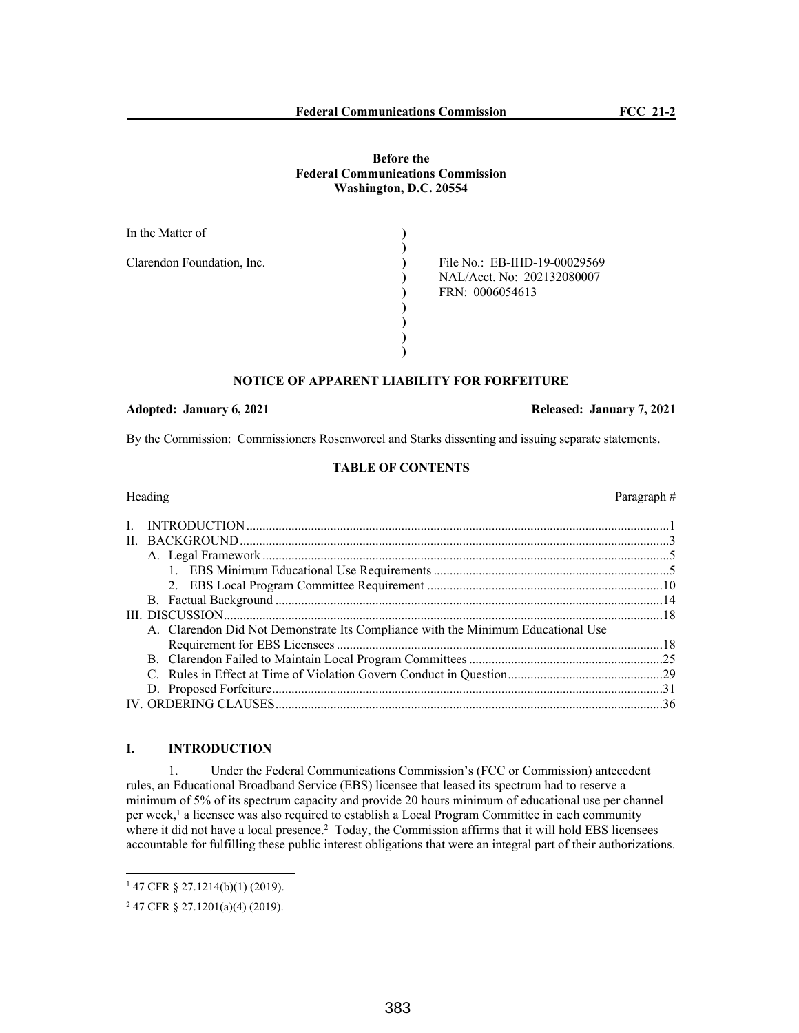## **Before the Federal Communications Commission Washington, D.C. 20554**

| In the Matter of           |                                                                               |
|----------------------------|-------------------------------------------------------------------------------|
| Clarendon Foundation, Inc. | File No.: EB-IHD-19-00029569<br>NAL/Acct. No: 202132080007<br>FRN: 0006054613 |
|                            |                                                                               |
|                            |                                                                               |

# **NOTICE OF APPARENT LIABILITY FOR FORFEITURE**

## **Adopted: January 6, 2021 Released: January 7, 2021**

By the Commission: Commissioners Rosenworcel and Starks dissenting and issuing separate statements.

### **TABLE OF CONTENTS**

| ⊣eaging |  |
|---------|--|
|         |  |

## Heading Paragraph #

| A. Clarendon Did Not Demonstrate Its Compliance with the Minimum Educational Use |  |
|----------------------------------------------------------------------------------|--|
|                                                                                  |  |
|                                                                                  |  |
|                                                                                  |  |
|                                                                                  |  |
|                                                                                  |  |

# **I. INTRODUCTION**

1. Under the Federal Communications Commission's (FCC or Commission) antecedent rules, an Educational Broadband Service (EBS) licensee that leased its spectrum had to reserve a minimum of 5% of its spectrum capacity and provide 20 hours minimum of educational use per channel per week,<sup>1</sup> a licensee was also required to establish a Local Program Committee in each community where it did not have a local presence.<sup>2</sup> Today, the Commission affirms that it will hold EBS licensees accountable for fulfilling these public interest obligations that were an integral part of their authorizations.

<sup>1</sup> 47 CFR § 27.1214(b)(1) (2019).

<sup>2</sup> 47 CFR § 27.1201(a)(4) (2019).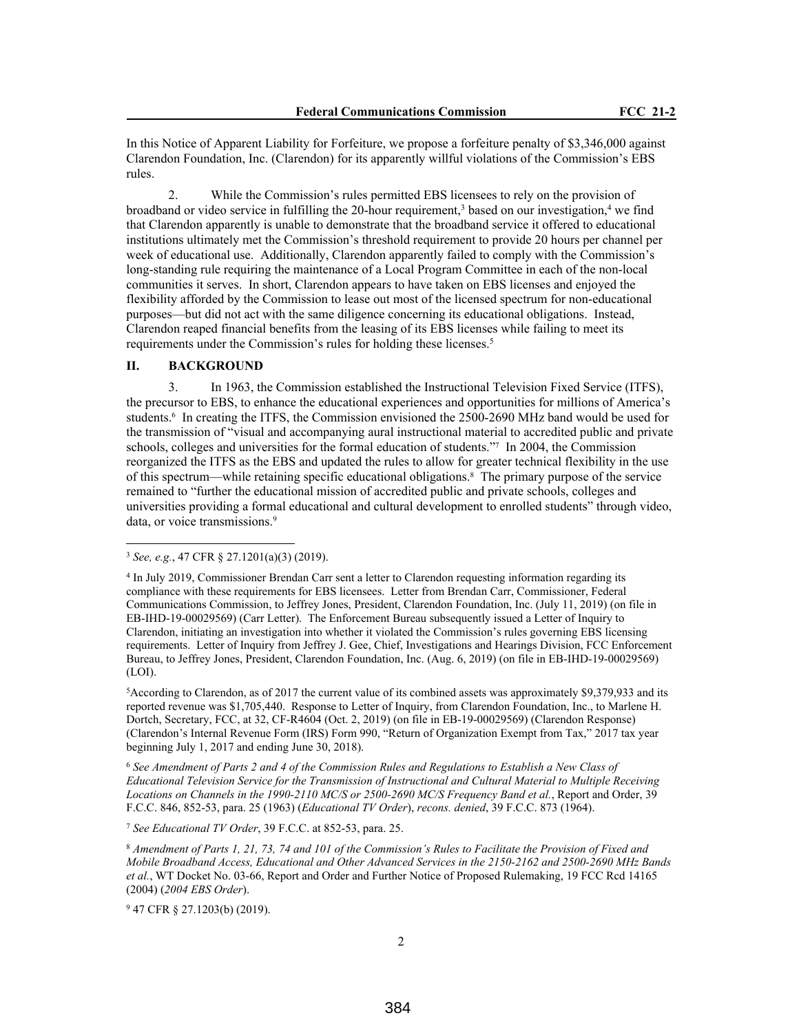In this Notice of Apparent Liability for Forfeiture, we propose a forfeiture penalty of \$3,346,000 against Clarendon Foundation, Inc. (Clarendon) for its apparently willful violations of the Commission's EBS rules.

2. While the Commission's rules permitted EBS licensees to rely on the provision of broadband or video service in fulfilling the 20-hour requirement,<sup>3</sup> based on our investigation,<sup>4</sup> we find that Clarendon apparently is unable to demonstrate that the broadband service it offered to educational institutions ultimately met the Commission's threshold requirement to provide 20 hours per channel per week of educational use. Additionally, Clarendon apparently failed to comply with the Commission's long-standing rule requiring the maintenance of a Local Program Committee in each of the non-local communities it serves. In short, Clarendon appears to have taken on EBS licenses and enjoyed the flexibility afforded by the Commission to lease out most of the licensed spectrum for non-educational purposes—but did not act with the same diligence concerning its educational obligations. Instead, Clarendon reaped financial benefits from the leasing of its EBS licenses while failing to meet its requirements under the Commission's rules for holding these licenses.<sup>5</sup>

## **II. BACKGROUND**

3. In 1963, the Commission established the Instructional Television Fixed Service (ITFS), the precursor to EBS, to enhance the educational experiences and opportunities for millions of America's students.<sup>6</sup> In creating the ITFS, the Commission envisioned the 2500-2690 MHz band would be used for the transmission of "visual and accompanying aural instructional material to accredited public and private schools, colleges and universities for the formal education of students.<sup>"7</sup> In 2004, the Commission reorganized the ITFS as the EBS and updated the rules to allow for greater technical flexibility in the use of this spectrum—while retaining specific educational obligations.<sup>8</sup> The primary purpose of the service remained to "further the educational mission of accredited public and private schools, colleges and universities providing a formal educational and cultural development to enrolled students" through video, data, or voice transmissions.<sup>9</sup>

<sup>5</sup>According to Clarendon, as of 2017 the current value of its combined assets was approximately \$9,379,933 and its reported revenue was \$1,705,440. Response to Letter of Inquiry, from Clarendon Foundation, Inc., to Marlene H. Dortch, Secretary, FCC, at 32, CF-R4604 (Oct. 2, 2019) (on file in EB-19-00029569) (Clarendon Response) (Clarendon's Internal Revenue Form (IRS) Form 990, "Return of Organization Exempt from Tax," 2017 tax year beginning July 1, 2017 and ending June 30, 2018).

<sup>6</sup> *See Amendment of Parts 2 and 4 of the Commission Rules and Regulations to Establish a New Class of Educational Television Service for the Transmission of Instructional and Cultural Material to Multiple Receiving Locations on Channels in the 1990-2110 MC/S or 2500-2690 MC/S Frequency Band et al.*, Report and Order, 39 F.C.C. 846, 852-53, para. 25 (1963) (*Educational TV Order*), *recons. denied*, 39 F.C.C. 873 (1964).

<sup>7</sup> *See Educational TV Order*, 39 F.C.C. at 852-53, para. 25.

<sup>8</sup> *Amendment of Parts 1, 21, 73, 74 and 101 of the Commission's Rules to Facilitate the Provision of Fixed and Mobile Broadband Access, Educational and Other Advanced Services in the 2150-2162 and 2500-2690 MHz Bands et al.*, WT Docket No. 03-66, Report and Order and Further Notice of Proposed Rulemaking, 19 FCC Rcd 14165 (2004) (*2004 EBS Order*).

9 47 CFR § 27.1203(b) (2019).

<sup>3</sup> *See, e.g.*, 47 CFR § 27.1201(a)(3) (2019).

<sup>4</sup> In July 2019, Commissioner Brendan Carr sent a letter to Clarendon requesting information regarding its compliance with these requirements for EBS licensees. Letter from Brendan Carr, Commissioner, Federal Communications Commission, to Jeffrey Jones, President, Clarendon Foundation, Inc. (July 11, 2019) (on file in EB-IHD-19-00029569) (Carr Letter). The Enforcement Bureau subsequently issued a Letter of Inquiry to Clarendon, initiating an investigation into whether it violated the Commission's rules governing EBS licensing requirements. Letter of Inquiry from Jeffrey J. Gee, Chief, Investigations and Hearings Division, FCC Enforcement Bureau, to Jeffrey Jones, President, Clarendon Foundation, Inc. (Aug. 6, 2019) (on file in EB-IHD-19-00029569) (LOI).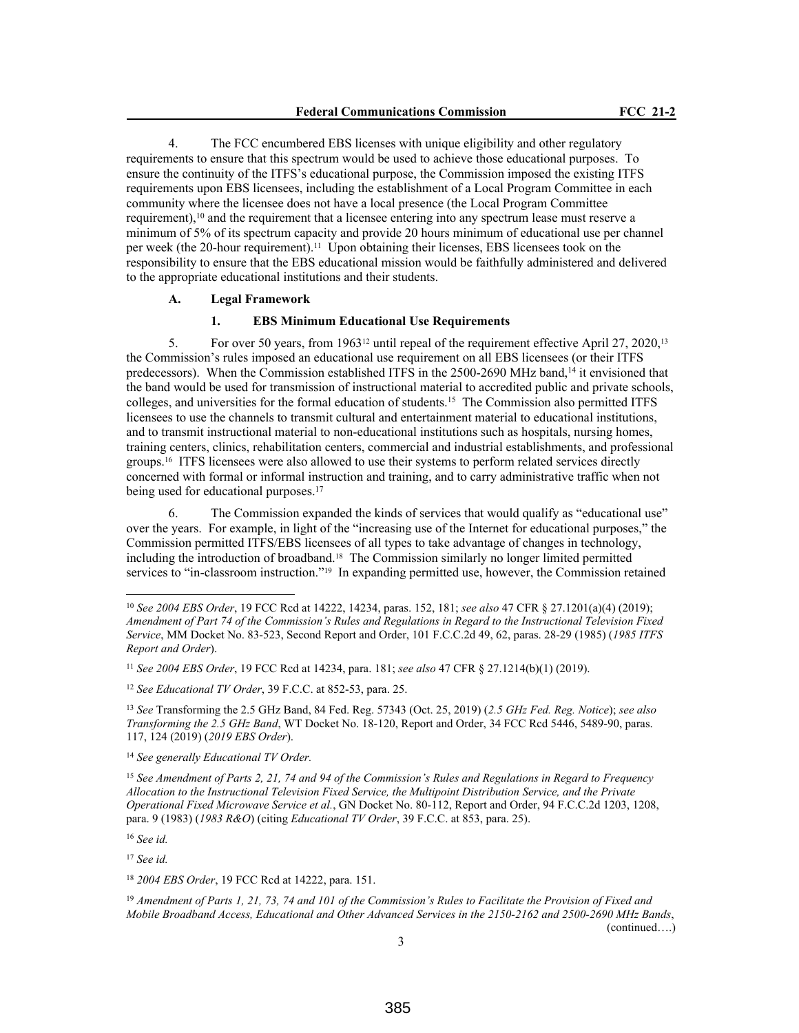4. The FCC encumbered EBS licenses with unique eligibility and other regulatory requirements to ensure that this spectrum would be used to achieve those educational purposes. To ensure the continuity of the ITFS's educational purpose, the Commission imposed the existing ITFS requirements upon EBS licensees, including the establishment of a Local Program Committee in each community where the licensee does not have a local presence (the Local Program Committee requirement),<sup>10</sup> and the requirement that a licensee entering into any spectrum lease must reserve a minimum of 5% of its spectrum capacity and provide 20 hours minimum of educational use per channel per week (the 20-hour requirement).11 Upon obtaining their licenses, EBS licensees took on the responsibility to ensure that the EBS educational mission would be faithfully administered and delivered to the appropriate educational institutions and their students.

#### **A. Legal Framework**

### **1. EBS Minimum Educational Use Requirements**

5. For over 50 years, from 196312 until repeal of the requirement effective April 27, 2020,<sup>13</sup> the Commission's rules imposed an educational use requirement on all EBS licensees (or their ITFS predecessors). When the Commission established ITFS in the 2500-2690 MHz band,<sup>14</sup> it envisioned that the band would be used for transmission of instructional material to accredited public and private schools, colleges, and universities for the formal education of students.<sup>15</sup> The Commission also permitted ITFS licensees to use the channels to transmit cultural and entertainment material to educational institutions, and to transmit instructional material to non-educational institutions such as hospitals, nursing homes, training centers, clinics, rehabilitation centers, commercial and industrial establishments, and professional groups.16 ITFS licensees were also allowed to use their systems to perform related services directly concerned with formal or informal instruction and training, and to carry administrative traffic when not being used for educational purposes.<sup>17</sup>

6. The Commission expanded the kinds of services that would qualify as "educational use" over the years. For example, in light of the "increasing use of the Internet for educational purposes," the Commission permitted ITFS/EBS licensees of all types to take advantage of changes in technology, including the introduction of broadband.18 The Commission similarly no longer limited permitted services to "in-classroom instruction."<sup>19</sup> In expanding permitted use, however, the Commission retained

<sup>11</sup> *See 2004 EBS Order*, 19 FCC Rcd at 14234, para. 181; *see also* 47 CFR § 27.1214(b)(1) (2019).

<sup>12</sup> *See Educational TV Order*, 39 F.C.C. at 852-53, para. 25.

<sup>13</sup> *See* Transforming the 2.5 GHz Band, 84 Fed. Reg. 57343 (Oct. 25, 2019) (*2.5 GHz Fed. Reg. Notice*); *see also Transforming the 2.5 GHz Band*, WT Docket No. 18-120, Report and Order, 34 FCC Rcd 5446, 5489-90, paras. 117, 124 (2019) (*2019 EBS Order*).

<sup>16</sup> *See id.*

<sup>10</sup> *See 2004 EBS Order*, 19 FCC Rcd at 14222, 14234, paras. 152, 181; *see also* 47 CFR § 27.1201(a)(4) (2019); *Amendment of Part 74 of the Commission's Rules and Regulations in Regard to the Instructional Television Fixed Service*, MM Docket No. 83-523, Second Report and Order, 101 F.C.C.2d 49, 62, paras. 28-29 (1985) (*1985 ITFS Report and Order*).

<sup>14</sup> *See generally Educational TV Order.*

<sup>15</sup> *See Amendment of Parts 2, 21, 74 and 94 of the Commission's Rules and Regulations in Regard to Frequency Allocation to the Instructional Television Fixed Service, the Multipoint Distribution Service, and the Private Operational Fixed Microwave Service et al.*, GN Docket No. 80-112, Report and Order, 94 F.C.C.2d 1203, 1208, para. 9 (1983) (*1983 R&O*) (citing *Educational TV Order*, 39 F.C.C. at 853, para. 25).

<sup>17</sup> *See id.* 

<sup>18</sup> *2004 EBS Order*, 19 FCC Rcd at 14222, para. 151.

<sup>19</sup> *Amendment of Parts 1, 21, 73, 74 and 101 of the Commission's Rules to Facilitate the Provision of Fixed and Mobile Broadband Access, Educational and Other Advanced Services in the 2150-2162 and 2500-2690 MHz Bands*, (continued….)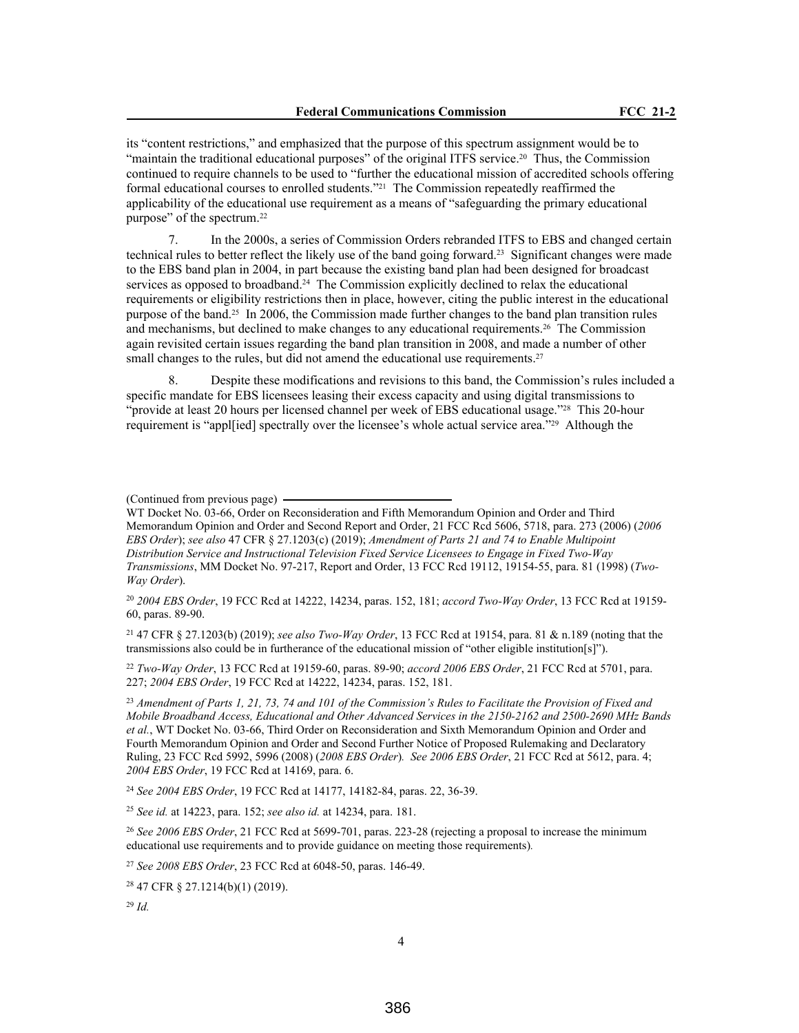its "content restrictions," and emphasized that the purpose of this spectrum assignment would be to "maintain the traditional educational purposes" of the original ITFS service.20 Thus, the Commission continued to require channels to be used to "further the educational mission of accredited schools offering formal educational courses to enrolled students."21 The Commission repeatedly reaffirmed the applicability of the educational use requirement as a means of "safeguarding the primary educational purpose" of the spectrum.<sup>22</sup>

7. In the 2000s, a series of Commission Orders rebranded ITFS to EBS and changed certain technical rules to better reflect the likely use of the band going forward.23 Significant changes were made to the EBS band plan in 2004, in part because the existing band plan had been designed for broadcast services as opposed to broadband.<sup>24</sup> The Commission explicitly declined to relax the educational requirements or eligibility restrictions then in place, however, citing the public interest in the educational purpose of the band.25 In 2006, the Commission made further changes to the band plan transition rules and mechanisms, but declined to make changes to any educational requirements.26 The Commission again revisited certain issues regarding the band plan transition in 2008, and made a number of other small changes to the rules, but did not amend the educational use requirements.<sup>27</sup>

8. Despite these modifications and revisions to this band, the Commission's rules included a specific mandate for EBS licensees leasing their excess capacity and using digital transmissions to "provide at least 20 hours per licensed channel per week of EBS educational usage."28 This 20-hour requirement is "appl[ied] spectrally over the licensee's whole actual service area."29 Although the

#### (Continued from previous page)

WT Docket No. 03-66, Order on Reconsideration and Fifth Memorandum Opinion and Order and Third Memorandum Opinion and Order and Second Report and Order, 21 FCC Rcd 5606, 5718, para. 273 (2006) (*2006 EBS Order*); *see also* 47 CFR § 27.1203(c) (2019); *Amendment of Parts 21 and 74 to Enable Multipoint Distribution Service and Instructional Television Fixed Service Licensees to Engage in Fixed Two-Way Transmissions*, MM Docket No. 97-217, Report and Order, 13 FCC Rcd 19112, 19154-55, para. 81 (1998) (*Two-Way Order*).

<sup>20</sup> *2004 EBS Order*, 19 FCC Rcd at 14222, 14234, paras. 152, 181; *accord Two-Way Order*, 13 FCC Rcd at 19159- 60, paras. 89-90.

<sup>21</sup> 47 CFR § 27.1203(b) (2019); *see also Two-Way Order*, 13 FCC Rcd at 19154, para. 81 & n.189 (noting that the transmissions also could be in furtherance of the educational mission of "other eligible institution[s]").

<sup>22</sup> *Two-Way Order*, 13 FCC Rcd at 19159-60, paras. 89-90; *accord 2006 EBS Order*, 21 FCC Rcd at 5701, para. 227; *2004 EBS Order*, 19 FCC Rcd at 14222, 14234, paras. 152, 181.

<sup>23</sup> *Amendment of Parts 1, 21, 73, 74 and 101 of the Commission's Rules to Facilitate the Provision of Fixed and Mobile Broadband Access, Educational and Other Advanced Services in the 2150-2162 and 2500-2690 MHz Bands et al.*, WT Docket No. 03-66, Third Order on Reconsideration and Sixth Memorandum Opinion and Order and Fourth Memorandum Opinion and Order and Second Further Notice of Proposed Rulemaking and Declaratory Ruling, 23 FCC Rcd 5992, 5996 (2008) (*2008 EBS Order*)*. See 2006 EBS Order*, 21 FCC Rcd at 5612, para. 4; *2004 EBS Order*, 19 FCC Rcd at 14169, para. 6.

<sup>24</sup> *See 2004 EBS Order*, 19 FCC Rcd at 14177, 14182-84, paras. 22, 36-39.

<sup>25</sup> *See id.* at 14223, para. 152; *see also id.* at 14234, para. 181.

<sup>26</sup> *See 2006 EBS Order*, 21 FCC Rcd at 5699-701, paras. 223-28 (rejecting a proposal to increase the minimum educational use requirements and to provide guidance on meeting those requirements)*.*

<sup>27</sup> *See 2008 EBS Order*, 23 FCC Rcd at 6048-50, paras. 146-49.

<sup>28</sup> 47 CFR § 27.1214(b)(1) (2019).

<sup>29</sup> *Id.*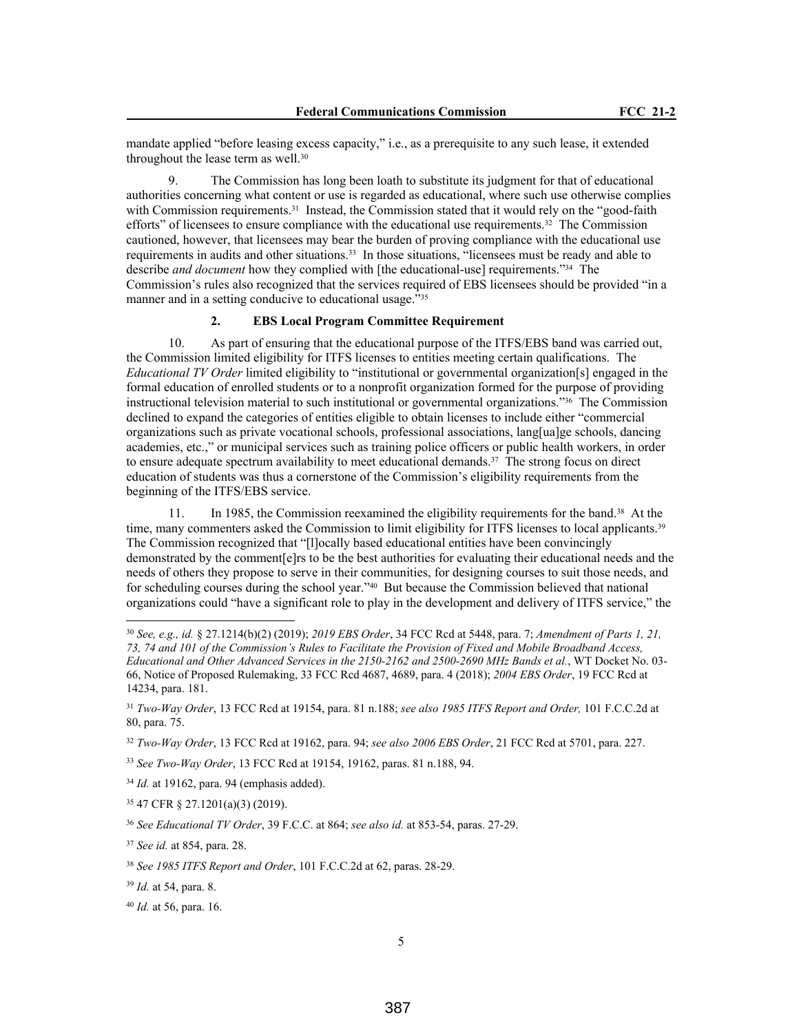mandate applied "before leasing excess capacity," i.e., as a prerequisite to any such lease, it extended throughout the lease term as well.<sup>30</sup>

9. The Commission has long been loath to substitute its judgment for that of educational authorities concerning what content or use is regarded as educational, where such use otherwise complies with Commission requirements.<sup>31</sup> Instead, the Commission stated that it would rely on the "good-faith" efforts" of licensees to ensure compliance with the educational use requirements.<sup>32</sup> The Commission cautioned, however, that licensees may bear the burden of proving compliance with the educational use requirements in audits and other situations.<sup>33</sup> In those situations, "licensees must be ready and able to describe *and document* how they complied with [the educational-use] requirements."34 The Commission's rules also recognized that the services required of EBS licensees should be provided "in a manner and in a setting conducive to educational usage."<sup>35</sup>

## **2. EBS Local Program Committee Requirement**

10. As part of ensuring that the educational purpose of the ITFS/EBS band was carried out, the Commission limited eligibility for ITFS licenses to entities meeting certain qualifications. The *Educational TV Order* limited eligibility to "institutional or governmental organization[s] engaged in the formal education of enrolled students or to a nonprofit organization formed for the purpose of providing instructional television material to such institutional or governmental organizations."36 The Commission declined to expand the categories of entities eligible to obtain licenses to include either "commercial organizations such as private vocational schools, professional associations, lang[ua]ge schools, dancing academies, etc.," or municipal services such as training police officers or public health workers, in order to ensure adequate spectrum availability to meet educational demands.37 The strong focus on direct education of students was thus a cornerstone of the Commission's eligibility requirements from the beginning of the ITFS/EBS service.

11. In 1985, the Commission reexamined the eligibility requirements for the band.38 At the time, many commenters asked the Commission to limit eligibility for ITFS licenses to local applicants.<sup>39</sup> The Commission recognized that "[l]ocally based educational entities have been convincingly demonstrated by the comment[e]rs to be the best authorities for evaluating their educational needs and the needs of others they propose to serve in their communities, for designing courses to suit those needs, and for scheduling courses during the school year."40 But because the Commission believed that national organizations could "have a significant role to play in the development and delivery of ITFS service," the

<sup>32</sup> *Two-Way Order*, 13 FCC Rcd at 19162, para. 94; *see also 2006 EBS Order*, 21 FCC Rcd at 5701, para. 227.

<sup>30</sup> *See, e.g., id.* § 27.1214(b)(2) (2019); *2019 EBS Order*, 34 FCC Rcd at 5448, para. 7; *Amendment of Parts 1, 21, 73, 74 and 101 of the Commission's Rules to Facilitate the Provision of Fixed and Mobile Broadband Access, Educational and Other Advanced Services in the 2150-2162 and 2500-2690 MHz Bands et al.*, WT Docket No. 03- 66, Notice of Proposed Rulemaking, 33 FCC Rcd 4687, 4689, para. 4 (2018); *2004 EBS Order*, 19 FCC Rcd at 14234, para. 181.

<sup>31</sup> *Two-Way Order*, 13 FCC Rcd at 19154, para. 81 n.188; *see also 1985 ITFS Report and Order,* 101 F.C.C.2d at 80, para. 75.

<sup>33</sup> *See Two-Way Order*, 13 FCC Rcd at 19154, 19162, paras. 81 n.188, 94.

<sup>34</sup> *Id.* at 19162, para. 94 (emphasis added).

<sup>35</sup> 47 CFR § 27.1201(a)(3) (2019).

<sup>36</sup> *See Educational TV Order*, 39 F.C.C. at 864; *see also id.* at 853-54, paras. 27-29.

<sup>37</sup> *See id.* at 854, para. 28.

<sup>38</sup> *See 1985 ITFS Report and Order*, 101 F.C.C.2d at 62, paras. 28-29.

<sup>39</sup> *Id.* at 54, para. 8.

<sup>40</sup> *Id.* at 56, para. 16.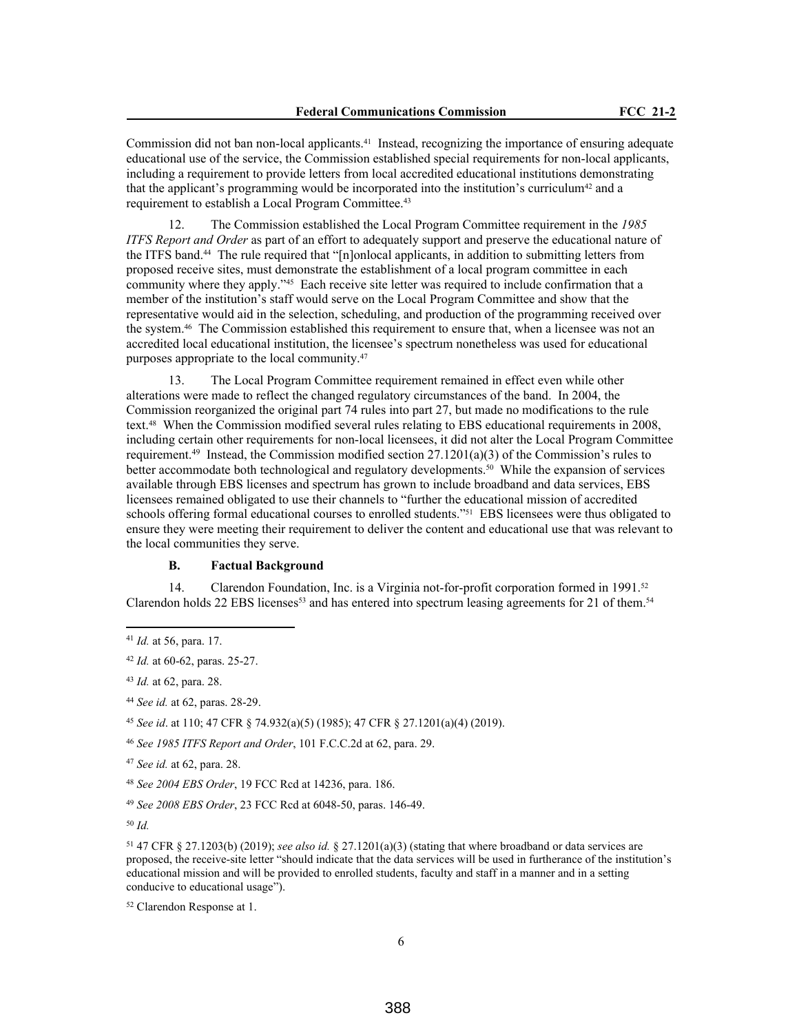Commission did not ban non-local applicants.<sup>41</sup> Instead, recognizing the importance of ensuring adequate educational use of the service, the Commission established special requirements for non-local applicants, including a requirement to provide letters from local accredited educational institutions demonstrating that the applicant's programming would be incorporated into the institution's curriculum<sup>42</sup> and a requirement to establish a Local Program Committee.<sup>43</sup>

12. The Commission established the Local Program Committee requirement in the *1985 ITFS Report and Order* as part of an effort to adequately support and preserve the educational nature of the ITFS band.44 The rule required that "[n]onlocal applicants, in addition to submitting letters from proposed receive sites, must demonstrate the establishment of a local program committee in each community where they apply."<sup>45</sup> Each receive site letter was required to include confirmation that a member of the institution's staff would serve on the Local Program Committee and show that the representative would aid in the selection, scheduling, and production of the programming received over the system.46 The Commission established this requirement to ensure that, when a licensee was not an accredited local educational institution, the licensee's spectrum nonetheless was used for educational purposes appropriate to the local community.<sup>47</sup>

13. The Local Program Committee requirement remained in effect even while other alterations were made to reflect the changed regulatory circumstances of the band. In 2004, the Commission reorganized the original part 74 rules into part 27, but made no modifications to the rule text.48 When the Commission modified several rules relating to EBS educational requirements in 2008, including certain other requirements for non-local licensees, it did not alter the Local Program Committee requirement.<sup>49</sup> Instead, the Commission modified section 27.1201(a)(3) of the Commission's rules to better accommodate both technological and regulatory developments.<sup>50</sup> While the expansion of services available through EBS licenses and spectrum has grown to include broadband and data services, EBS licensees remained obligated to use their channels to "further the educational mission of accredited schools offering formal educational courses to enrolled students."<sup>51</sup> EBS licensees were thus obligated to ensure they were meeting their requirement to deliver the content and educational use that was relevant to the local communities they serve.

### **B. Factual Background**

14. Clarendon Foundation, Inc. is a Virginia not-for-profit corporation formed in 1991.<sup>52</sup> Clarendon holds 22 EBS licenses<sup>53</sup> and has entered into spectrum leasing agreements for 21 of them.<sup>54</sup>

<sup>43</sup> *Id.* at 62, para. 28.

<sup>44</sup> *See id.* at 62, paras. 28-29.

<sup>45</sup> *See id*. at 110; 47 CFR § 74.932(a)(5) (1985); 47 CFR § 27.1201(a)(4) (2019).

<sup>46</sup> *See 1985 ITFS Report and Order*, 101 F.C.C.2d at 62, para. 29.

<sup>47</sup> *See id.* at 62, para. 28.

<sup>48</sup> *See 2004 EBS Order*, 19 FCC Rcd at 14236, para. 186.

<sup>49</sup> *See 2008 EBS Order*, 23 FCC Rcd at 6048-50, paras. 146-49.

<sup>50</sup> *Id.*

<sup>51</sup> 47 CFR § 27.1203(b) (2019); *see also id.* § 27.1201(a)(3) (stating that where broadband or data services are proposed, the receive-site letter "should indicate that the data services will be used in furtherance of the institution's educational mission and will be provided to enrolled students, faculty and staff in a manner and in a setting conducive to educational usage").

<sup>52</sup> Clarendon Response at 1.

<sup>41</sup> *Id.* at 56, para. 17.

<sup>42</sup> *Id.* at 60-62, paras. 25-27.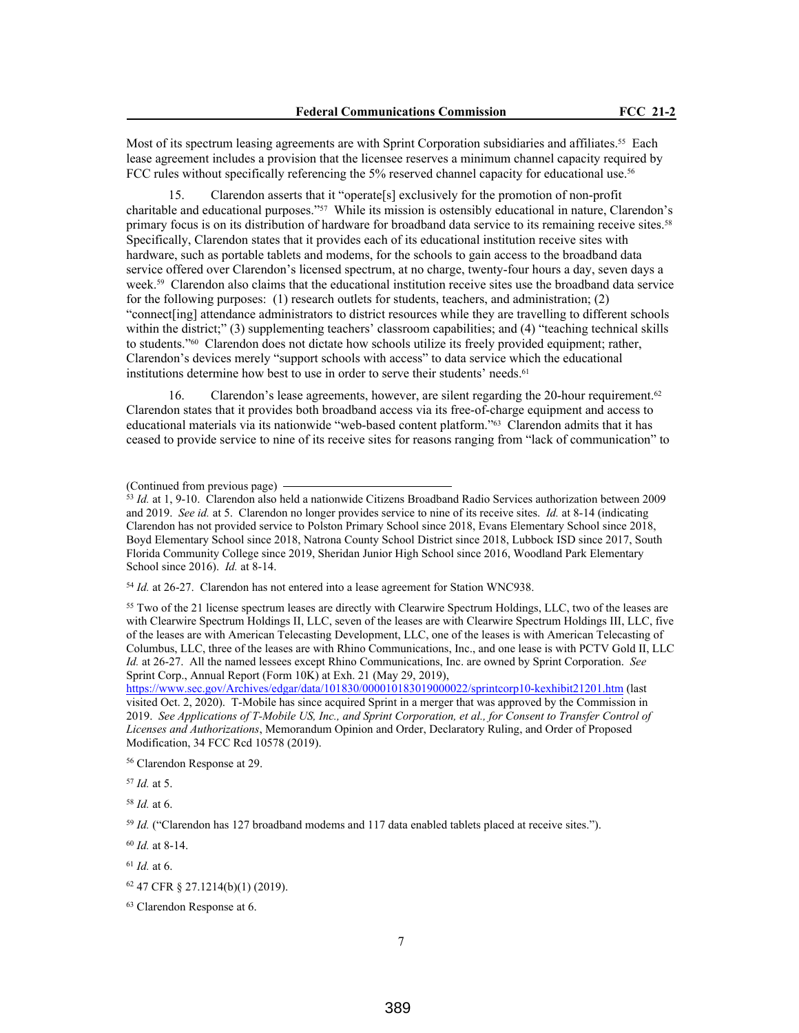Most of its spectrum leasing agreements are with Sprint Corporation subsidiaries and affiliates.<sup>55</sup> Each lease agreement includes a provision that the licensee reserves a minimum channel capacity required by FCC rules without specifically referencing the 5% reserved channel capacity for educational use.<sup>56</sup>

15. Clarendon asserts that it "operate[s] exclusively for the promotion of non-profit charitable and educational purposes."57 While its mission is ostensibly educational in nature, Clarendon's primary focus is on its distribution of hardware for broadband data service to its remaining receive sites.<sup>58</sup> Specifically, Clarendon states that it provides each of its educational institution receive sites with hardware, such as portable tablets and modems, for the schools to gain access to the broadband data service offered over Clarendon's licensed spectrum, at no charge, twenty-four hours a day, seven days a week.<sup>59</sup> Clarendon also claims that the educational institution receive sites use the broadband data service for the following purposes: (1) research outlets for students, teachers, and administration; (2) "connect[ing] attendance administrators to district resources while they are travelling to different schools within the district;" (3) supplementing teachers' classroom capabilities; and (4) "teaching technical skills to students."60 Clarendon does not dictate how schools utilize its freely provided equipment; rather, Clarendon's devices merely "support schools with access" to data service which the educational institutions determine how best to use in order to serve their students' needs.<sup>61</sup>

16. Clarendon's lease agreements, however, are silent regarding the 20-hour requirement.<sup>62</sup> Clarendon states that it provides both broadband access via its free-of-charge equipment and access to educational materials via its nationwide "web-based content platform."63 Clarendon admits that it has ceased to provide service to nine of its receive sites for reasons ranging from "lack of communication" to

<sup>54</sup> *Id.* at 26-27. Clarendon has not entered into a lease agreement for Station WNC938.

<sup>55</sup> Two of the 21 license spectrum leases are directly with Clearwire Spectrum Holdings, LLC, two of the leases are with Clearwire Spectrum Holdings II, LLC, seven of the leases are with Clearwire Spectrum Holdings III, LLC, five of the leases are with American Telecasting Development, LLC, one of the leases is with American Telecasting of Columbus, LLC, three of the leases are with Rhino Communications, Inc., and one lease is with PCTV Gold II, LLC *Id.* at 26-27. All the named lessees except Rhino Communications, Inc. are owned by Sprint Corporation. *See*  Sprint Corp., Annual Report (Form 10K) at Exh. 21 (May 29, 2019),

https://www.sec.gov/Archives/edgar/data/101830/000010183019000022/sprintcorp10-kexhibit21201.htm (last visited Oct. 2, 2020). T-Mobile has since acquired Sprint in a merger that was approved by the Commission in 2019. *See Applications of T-Mobile US, Inc., and Sprint Corporation, et al., for Consent to Transfer Control of Licenses and Authorizations*, Memorandum Opinion and Order, Declaratory Ruling, and Order of Proposed Modification, 34 FCC Rcd 10578 (2019).

<sup>56</sup> Clarendon Response at 29.

<sup>57</sup> *Id.* at 5.

<sup>58</sup> *Id.* at 6.

<sup>59</sup> *Id.* ("Clarendon has 127 broadband modems and 117 data enabled tablets placed at receive sites.").

<sup>60</sup> *Id.* at 8-14.

<sup>61</sup> *Id.* at 6.

<sup>(</sup>Continued from previous page)

<sup>53</sup> *Id.* at 1, 9-10. Clarendon also held a nationwide Citizens Broadband Radio Services authorization between 2009 and 2019. *See id.* at 5. Clarendon no longer provides service to nine of its receive sites. *Id.* at 8-14 (indicating Clarendon has not provided service to Polston Primary School since 2018, Evans Elementary School since 2018, Boyd Elementary School since 2018, Natrona County School District since 2018, Lubbock ISD since 2017, South Florida Community College since 2019, Sheridan Junior High School since 2016, Woodland Park Elementary School since 2016). *Id.* at 8-14.

<sup>62</sup> 47 CFR § 27.1214(b)(1) (2019).

<sup>63</sup> Clarendon Response at 6.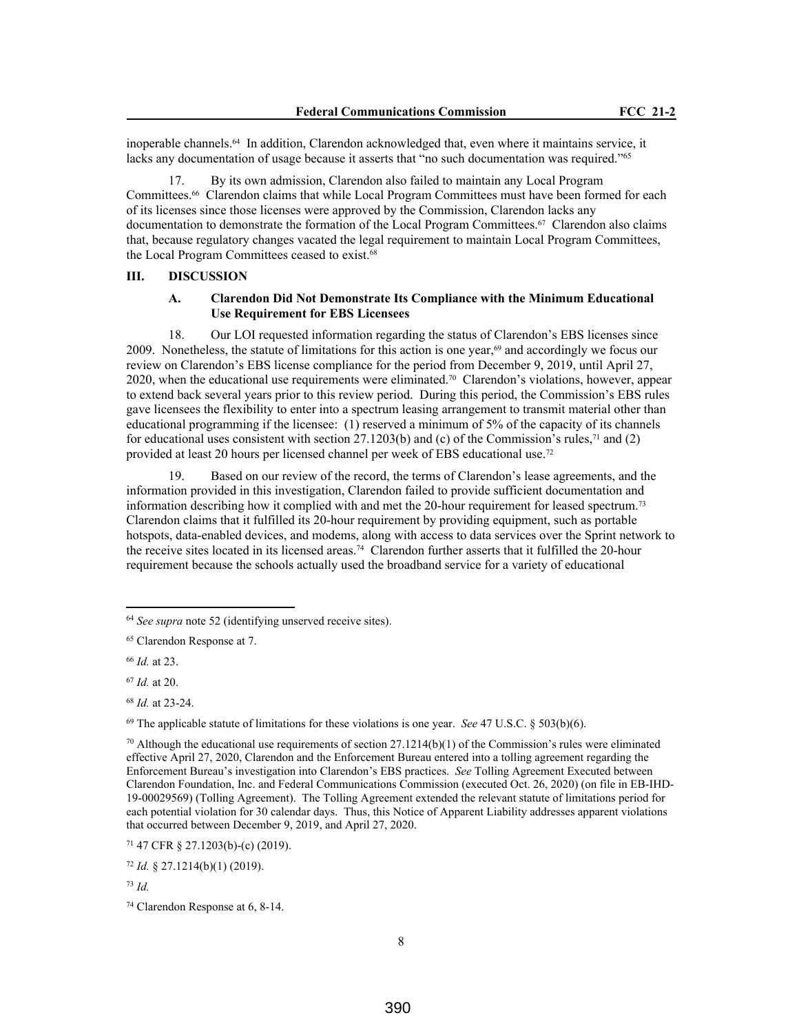inoperable channels.<sup>64</sup> In addition, Clarendon acknowledged that, even where it maintains service, it lacks any documentation of usage because it asserts that "no such documentation was required."<sup>65</sup>

17. By its own admission, Clarendon also failed to maintain any Local Program Committees.66 Clarendon claims that while Local Program Committees must have been formed for each of its licenses since those licenses were approved by the Commission, Clarendon lacks any documentation to demonstrate the formation of the Local Program Committees.<sup>67</sup> Clarendon also claims that, because regulatory changes vacated the legal requirement to maintain Local Program Committees, the Local Program Committees ceased to exist.<sup>68</sup>

#### **III. DISCUSSION**

#### **A. Clarendon Did Not Demonstrate Its Compliance with the Minimum Educational Use Requirement for EBS Licensees**

18. Our LOI requested information regarding the status of Clarendon's EBS licenses since 2009. Nonetheless, the statute of limitations for this action is one year, $69$  and accordingly we focus our review on Clarendon's EBS license compliance for the period from December 9, 2019, until April 27, 2020, when the educational use requirements were eliminated.70 Clarendon's violations, however, appear to extend back several years prior to this review period. During this period, the Commission's EBS rules gave licensees the flexibility to enter into a spectrum leasing arrangement to transmit material other than educational programming if the licensee: (1) reserved a minimum of 5% of the capacity of its channels for educational uses consistent with section 27.1203(b) and (c) of the Commission's rules,<sup>71</sup> and (2) provided at least 20 hours per licensed channel per week of EBS educational use.<sup>72</sup>

19. Based on our review of the record, the terms of Clarendon's lease agreements, and the information provided in this investigation, Clarendon failed to provide sufficient documentation and information describing how it complied with and met the 20-hour requirement for leased spectrum.<sup>73</sup> Clarendon claims that it fulfilled its 20-hour requirement by providing equipment, such as portable hotspots, data-enabled devices, and modems, along with access to data services over the Sprint network to the receive sites located in its licensed areas.74 Clarendon further asserts that it fulfilled the 20-hour requirement because the schools actually used the broadband service for a variety of educational

<sup>69</sup> The applicable statute of limitations for these violations is one year. *See* 47 U.S.C. § 503(b)(6).

<sup>64</sup> *See supra* note 52 (identifying unserved receive sites).

<sup>65</sup> Clarendon Response at 7.

<sup>66</sup> *Id.* at 23.

<sup>67</sup> *Id.* at 20.

<sup>68</sup> *Id.* at 23-24.

 $70$  Although the educational use requirements of section 27.1214(b)(1) of the Commission's rules were eliminated effective April 27, 2020, Clarendon and the Enforcement Bureau entered into a tolling agreement regarding the Enforcement Bureau's investigation into Clarendon's EBS practices. *See* Tolling Agreement Executed between Clarendon Foundation, Inc. and Federal Communications Commission (executed Oct. 26, 2020) (on file in EB-IHD-19-00029569) (Tolling Agreement). The Tolling Agreement extended the relevant statute of limitations period for each potential violation for 30 calendar days. Thus, this Notice of Apparent Liability addresses apparent violations that occurred between December 9, 2019, and April 27, 2020.

<sup>71</sup> 47 CFR § 27.1203(b)-(c) (2019).

<sup>72</sup> *Id.* § 27.1214(b)(1) (2019).

<sup>73</sup> *Id.*

<sup>74</sup> Clarendon Response at 6, 8-14.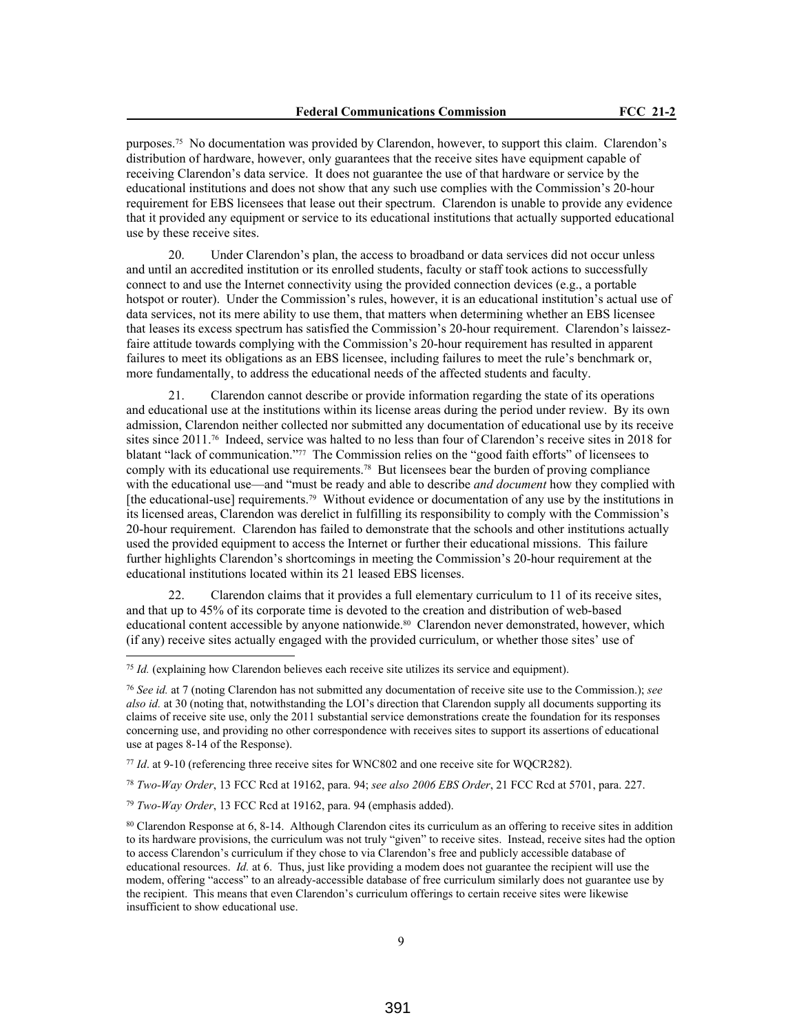purposes.75 No documentation was provided by Clarendon, however, to support this claim. Clarendon's distribution of hardware, however, only guarantees that the receive sites have equipment capable of receiving Clarendon's data service. It does not guarantee the use of that hardware or service by the educational institutions and does not show that any such use complies with the Commission's 20-hour requirement for EBS licensees that lease out their spectrum. Clarendon is unable to provide any evidence that it provided any equipment or service to its educational institutions that actually supported educational use by these receive sites.

20. Under Clarendon's plan, the access to broadband or data services did not occur unless and until an accredited institution or its enrolled students, faculty or staff took actions to successfully connect to and use the Internet connectivity using the provided connection devices (e.g., a portable hotspot or router). Under the Commission's rules, however, it is an educational institution's actual use of data services, not its mere ability to use them, that matters when determining whether an EBS licensee that leases its excess spectrum has satisfied the Commission's 20-hour requirement. Clarendon's laissezfaire attitude towards complying with the Commission's 20-hour requirement has resulted in apparent failures to meet its obligations as an EBS licensee, including failures to meet the rule's benchmark or, more fundamentally, to address the educational needs of the affected students and faculty.

21. Clarendon cannot describe or provide information regarding the state of its operations and educational use at the institutions within its license areas during the period under review. By its own admission, Clarendon neither collected nor submitted any documentation of educational use by its receive sites since 2011.76 Indeed, service was halted to no less than four of Clarendon's receive sites in 2018 for blatant "lack of communication."77 The Commission relies on the "good faith efforts" of licensees to comply with its educational use requirements.78 But licensees bear the burden of proving compliance with the educational use—and "must be ready and able to describe *and document* how they complied with [the educational-use] requirements.79 Without evidence or documentation of any use by the institutions in its licensed areas, Clarendon was derelict in fulfilling its responsibility to comply with the Commission's 20-hour requirement. Clarendon has failed to demonstrate that the schools and other institutions actually used the provided equipment to access the Internet or further their educational missions. This failure further highlights Clarendon's shortcomings in meeting the Commission's 20-hour requirement at the educational institutions located within its 21 leased EBS licenses.

22. Clarendon claims that it provides a full elementary curriculum to 11 of its receive sites, and that up to 45% of its corporate time is devoted to the creation and distribution of web-based educational content accessible by anyone nationwide.<sup>80</sup> Clarendon never demonstrated, however, which (if any) receive sites actually engaged with the provided curriculum, or whether those sites' use of

<sup>78</sup> *Two-Way Order*, 13 FCC Rcd at 19162, para. 94; *see also 2006 EBS Order*, 21 FCC Rcd at 5701, para. 227.

<sup>79</sup> *Two-Way Order*, 13 FCC Rcd at 19162, para. 94 (emphasis added).

<sup>75</sup> *Id.* (explaining how Clarendon believes each receive site utilizes its service and equipment).

<sup>76</sup> *See id.* at 7 (noting Clarendon has not submitted any documentation of receive site use to the Commission.); *see also id.* at 30 (noting that, notwithstanding the LOI's direction that Clarendon supply all documents supporting its claims of receive site use, only the 2011 substantial service demonstrations create the foundation for its responses concerning use, and providing no other correspondence with receives sites to support its assertions of educational use at pages 8-14 of the Response).

<sup>77</sup> *Id*. at 9-10 (referencing three receive sites for WNC802 and one receive site for WQCR282).

<sup>80</sup> Clarendon Response at 6, 8-14. Although Clarendon cites its curriculum as an offering to receive sites in addition to its hardware provisions, the curriculum was not truly "given" to receive sites. Instead, receive sites had the option to access Clarendon's curriculum if they chose to via Clarendon's free and publicly accessible database of educational resources. *Id.* at 6. Thus, just like providing a modem does not guarantee the recipient will use the modem, offering "access" to an already-accessible database of free curriculum similarly does not guarantee use by the recipient. This means that even Clarendon's curriculum offerings to certain receive sites were likewise insufficient to show educational use.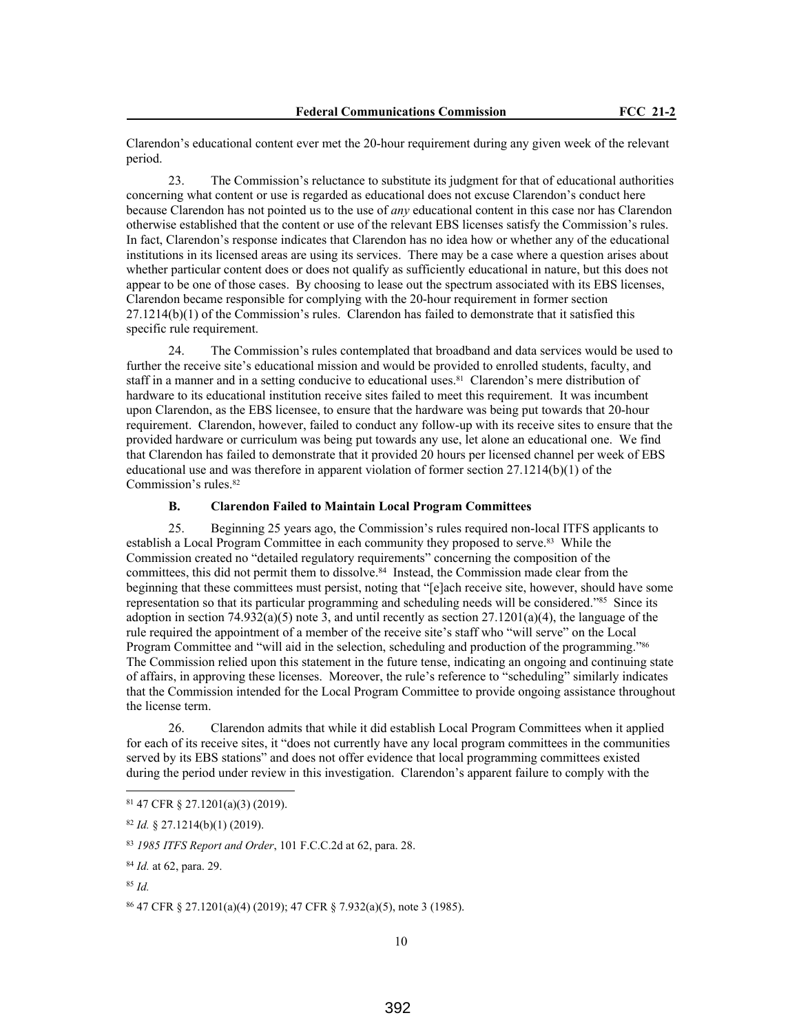Clarendon's educational content ever met the 20-hour requirement during any given week of the relevant period.

23. The Commission's reluctance to substitute its judgment for that of educational authorities concerning what content or use is regarded as educational does not excuse Clarendon's conduct here because Clarendon has not pointed us to the use of *any* educational content in this case nor has Clarendon otherwise established that the content or use of the relevant EBS licenses satisfy the Commission's rules. In fact, Clarendon's response indicates that Clarendon has no idea how or whether any of the educational institutions in its licensed areas are using its services. There may be a case where a question arises about whether particular content does or does not qualify as sufficiently educational in nature, but this does not appear to be one of those cases. By choosing to lease out the spectrum associated with its EBS licenses, Clarendon became responsible for complying with the 20-hour requirement in former section 27.1214(b)(1) of the Commission's rules. Clarendon has failed to demonstrate that it satisfied this specific rule requirement.

24. The Commission's rules contemplated that broadband and data services would be used to further the receive site's educational mission and would be provided to enrolled students, faculty, and staff in a manner and in a setting conducive to educational uses.<sup>81</sup> Clarendon's mere distribution of hardware to its educational institution receive sites failed to meet this requirement. It was incumbent upon Clarendon, as the EBS licensee, to ensure that the hardware was being put towards that 20-hour requirement. Clarendon, however, failed to conduct any follow-up with its receive sites to ensure that the provided hardware or curriculum was being put towards any use, let alone an educational one. We find that Clarendon has failed to demonstrate that it provided 20 hours per licensed channel per week of EBS educational use and was therefore in apparent violation of former section  $27.1214(b)(1)$  of the Commission's rules.<sup>82</sup>

#### **B. Clarendon Failed to Maintain Local Program Committees**

25. Beginning 25 years ago, the Commission's rules required non-local ITFS applicants to establish a Local Program Committee in each community they proposed to serve.83 While the Commission created no "detailed regulatory requirements" concerning the composition of the committees, this did not permit them to dissolve.<sup>84</sup> Instead, the Commission made clear from the beginning that these committees must persist, noting that "[e]ach receive site, however, should have some representation so that its particular programming and scheduling needs will be considered."<sup>85</sup> Since its adoption in section 74.932(a)(5) note 3, and until recently as section 27.1201(a)(4), the language of the rule required the appointment of a member of the receive site's staff who "will serve" on the Local Program Committee and "will aid in the selection, scheduling and production of the programming."<sup>86</sup> The Commission relied upon this statement in the future tense, indicating an ongoing and continuing state of affairs, in approving these licenses. Moreover, the rule's reference to "scheduling" similarly indicates that the Commission intended for the Local Program Committee to provide ongoing assistance throughout the license term.

26. Clarendon admits that while it did establish Local Program Committees when it applied for each of its receive sites, it "does not currently have any local program committees in the communities served by its EBS stations" and does not offer evidence that local programming committees existed during the period under review in this investigation. Clarendon's apparent failure to comply with the

<sup>81</sup> 47 CFR § 27.1201(a)(3) (2019).

<sup>82</sup> *Id.* § 27.1214(b)(1) (2019).

<sup>83</sup> *1985 ITFS Report and Order*, 101 F.C.C.2d at 62, para. 28.

<sup>84</sup> *Id.* at 62, para. 29.

<sup>85</sup> *Id.*

<sup>86</sup> 47 CFR § 27.1201(a)(4) (2019); 47 CFR § 7.932(a)(5), note 3 (1985).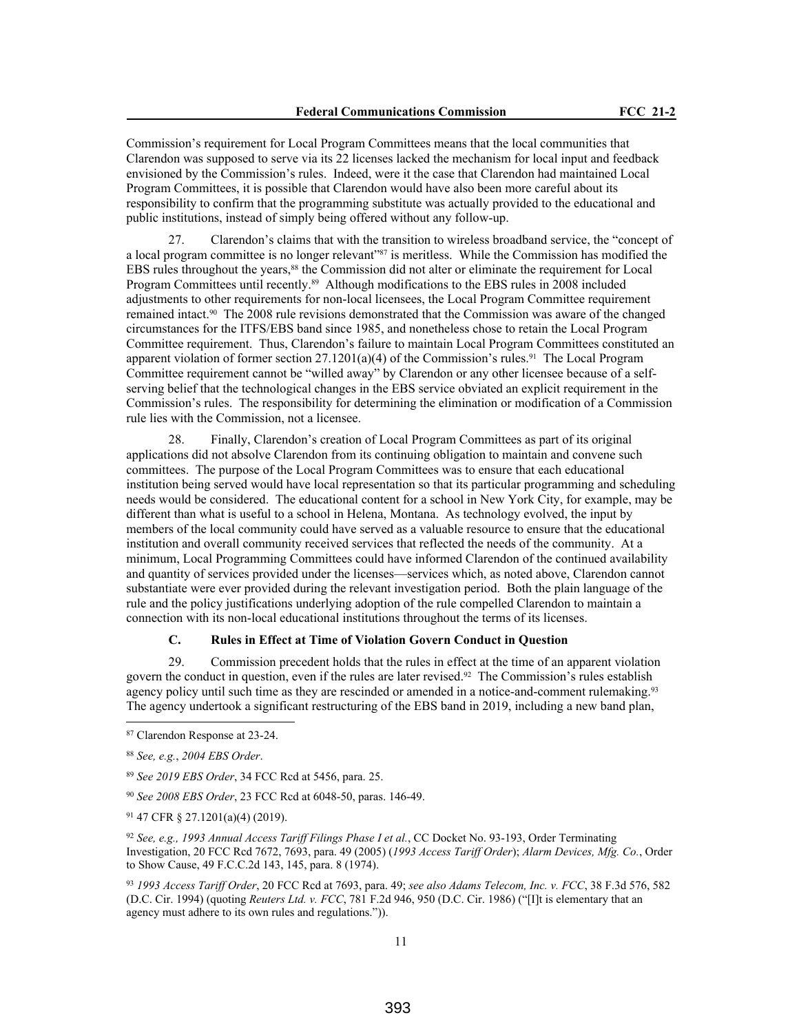Commission's requirement for Local Program Committees means that the local communities that Clarendon was supposed to serve via its 22 licenses lacked the mechanism for local input and feedback envisioned by the Commission's rules. Indeed, were it the case that Clarendon had maintained Local Program Committees, it is possible that Clarendon would have also been more careful about its responsibility to confirm that the programming substitute was actually provided to the educational and public institutions, instead of simply being offered without any follow-up.

27. Clarendon's claims that with the transition to wireless broadband service, the "concept of a local program committee is no longer relevant"87 is meritless. While the Commission has modified the EBS rules throughout the years,<sup>88</sup> the Commission did not alter or eliminate the requirement for Local Program Committees until recently.<sup>89</sup> Although modifications to the EBS rules in 2008 included adjustments to other requirements for non-local licensees, the Local Program Committee requirement remained intact.90 The 2008 rule revisions demonstrated that the Commission was aware of the changed circumstances for the ITFS/EBS band since 1985, and nonetheless chose to retain the Local Program Committee requirement. Thus, Clarendon's failure to maintain Local Program Committees constituted an apparent violation of former section  $27.1201(a)(4)$  of the Commission's rules.<sup>91</sup> The Local Program Committee requirement cannot be "willed away" by Clarendon or any other licensee because of a selfserving belief that the technological changes in the EBS service obviated an explicit requirement in the Commission's rules. The responsibility for determining the elimination or modification of a Commission rule lies with the Commission, not a licensee.

28. Finally, Clarendon's creation of Local Program Committees as part of its original applications did not absolve Clarendon from its continuing obligation to maintain and convene such committees. The purpose of the Local Program Committees was to ensure that each educational institution being served would have local representation so that its particular programming and scheduling needs would be considered. The educational content for a school in New York City, for example, may be different than what is useful to a school in Helena, Montana. As technology evolved, the input by members of the local community could have served as a valuable resource to ensure that the educational institution and overall community received services that reflected the needs of the community. At a minimum, Local Programming Committees could have informed Clarendon of the continued availability and quantity of services provided under the licenses—services which, as noted above, Clarendon cannot substantiate were ever provided during the relevant investigation period. Both the plain language of the rule and the policy justifications underlying adoption of the rule compelled Clarendon to maintain a connection with its non-local educational institutions throughout the terms of its licenses.

# **C. Rules in Effect at Time of Violation Govern Conduct in Question**

29. Commission precedent holds that the rules in effect at the time of an apparent violation govern the conduct in question, even if the rules are later revised.92 The Commission's rules establish agency policy until such time as they are rescinded or amended in a notice-and-comment rulemaking.<sup>93</sup> The agency undertook a significant restructuring of the EBS band in 2019, including a new band plan,

<sup>87</sup> Clarendon Response at 23-24.

<sup>88</sup> *See, e.g.*, *2004 EBS Order*.

<sup>89</sup> *See 2019 EBS Order*, 34 FCC Rcd at 5456, para. 25.

<sup>90</sup> *See 2008 EBS Order*, 23 FCC Rcd at 6048-50, paras. 146-49.

<sup>91</sup> 47 CFR § 27.1201(a)(4) (2019).

<sup>92</sup> *See, e.g., 1993 Annual Access Tariff Filings Phase I et al.*, CC Docket No. 93-193, Order Terminating Investigation, 20 FCC Rcd 7672, 7693, para. 49 (2005) (*1993 Access Tariff Order*); *Alarm Devices, Mfg. Co.*, Order to Show Cause, 49 F.C.C.2d 143, 145, para. 8 (1974).

<sup>93</sup> *1993 Access Tariff Order*, 20 FCC Rcd at 7693, para. 49; *see also Adams Telecom, Inc. v. FCC*, 38 F.3d 576, 582 (D.C. Cir. 1994) (quoting *Reuters Ltd. v. FCC*, 781 F.2d 946, 950 (D.C. Cir. 1986) ("[I]t is elementary that an agency must adhere to its own rules and regulations.")).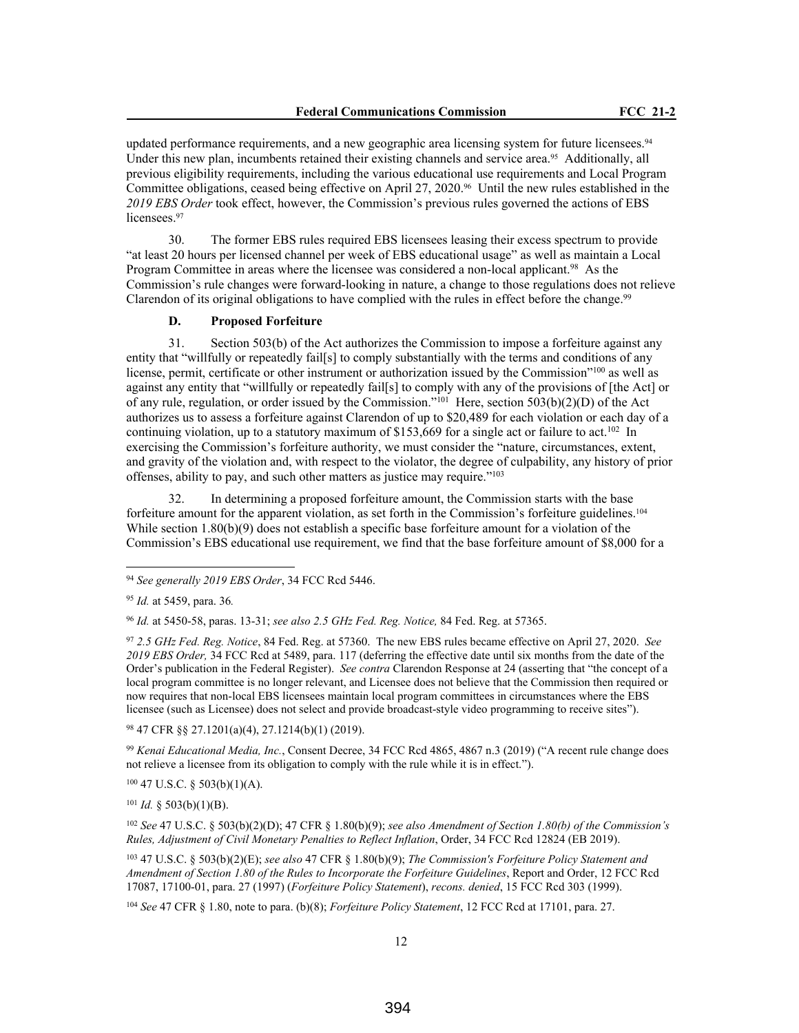updated performance requirements, and a new geographic area licensing system for future licensees.<sup>94</sup> Under this new plan, incumbents retained their existing channels and service area.<sup>95</sup> Additionally, all previous eligibility requirements, including the various educational use requirements and Local Program Committee obligations, ceased being effective on April 27, 2020.<sup>96</sup> Until the new rules established in the *2019 EBS Order* took effect, however, the Commission's previous rules governed the actions of EBS licensees.<sup>97</sup>

30. The former EBS rules required EBS licensees leasing their excess spectrum to provide "at least 20 hours per licensed channel per week of EBS educational usage" as well as maintain a Local Program Committee in areas where the licensee was considered a non-local applicant.<sup>98</sup> As the Commission's rule changes were forward-looking in nature, a change to those regulations does not relieve Clarendon of its original obligations to have complied with the rules in effect before the change.<sup>99</sup>

## **D. Proposed Forfeiture**

31. Section 503(b) of the Act authorizes the Commission to impose a forfeiture against any entity that "willfully or repeatedly fail[s] to comply substantially with the terms and conditions of any license, permit, certificate or other instrument or authorization issued by the Commission"<sup>100</sup> as well as against any entity that "willfully or repeatedly fail[s] to comply with any of the provisions of [the Act] or of any rule, regulation, or order issued by the Commission."<sup>101</sup> Here, section 503(b)(2)(D) of the Act authorizes us to assess a forfeiture against Clarendon of up to \$20,489 for each violation or each day of a continuing violation, up to a statutory maximum of \$153,669 for a single act or failure to act.<sup>102</sup> In exercising the Commission's forfeiture authority, we must consider the "nature, circumstances, extent, and gravity of the violation and, with respect to the violator, the degree of culpability, any history of prior offenses, ability to pay, and such other matters as justice may require."<sup>103</sup>

32. In determining a proposed forfeiture amount, the Commission starts with the base forfeiture amount for the apparent violation, as set forth in the Commission's forfeiture guidelines.<sup>104</sup> While section 1.80(b)(9) does not establish a specific base for feiture amount for a violation of the Commission's EBS educational use requirement, we find that the base forfeiture amount of \$8,000 for a

<sup>96</sup> *Id.* at 5450-58, paras. 13-31; *see also 2.5 GHz Fed. Reg. Notice,* 84 Fed. Reg. at 57365.

<sup>97</sup> *2.5 GHz Fed. Reg. Notice*, 84 Fed. Reg. at 57360. The new EBS rules became effective on April 27, 2020. *See 2019 EBS Order,* 34 FCC Rcd at 5489, para. 117 (deferring the effective date until six months from the date of the Order's publication in the Federal Register). *See contra* Clarendon Response at 24 (asserting that "the concept of a local program committee is no longer relevant, and Licensee does not believe that the Commission then required or now requires that non-local EBS licensees maintain local program committees in circumstances where the EBS licensee (such as Licensee) does not select and provide broadcast-style video programming to receive sites").

<sup>98</sup> 47 CFR §§ 27.1201(a)(4), 27.1214(b)(1) (2019).

<sup>99</sup> *Kenai Educational Media, Inc.*, Consent Decree, 34 FCC Rcd 4865, 4867 n.3 (2019) ("A recent rule change does not relieve a licensee from its obligation to comply with the rule while it is in effect.").

<sup>100</sup> 47 U.S.C. § 503(b)(1)(A).

 $101$  *Id.* § 503(b)(1)(B).

<sup>102</sup> *See* 47 U.S.C. § 503(b)(2)(D); 47 CFR § 1.80(b)(9); *see also Amendment of Section 1.80(b) of the Commission's Rules, Adjustment of Civil Monetary Penalties to Reflect Inflation*, Order, 34 FCC Rcd 12824 (EB 2019).

<sup>103</sup> 47 U.S.C. § 503(b)(2)(E); *see also* 47 CFR § 1.80(b)(9); *The Commission's Forfeiture Policy Statement and Amendment of Section 1.80 of the Rules to Incorporate the Forfeiture Guidelines*, Report and Order, 12 FCC Rcd 17087, 17100-01, para. 27 (1997) (*Forfeiture Policy Statement*), *recons. denied*, 15 FCC Rcd 303 (1999).

<sup>104</sup> *See* 47 CFR § 1.80, note to para. (b)(8); *Forfeiture Policy Statement*, 12 FCC Rcd at 17101, para. 27.

<sup>94</sup> *See generally 2019 EBS Order*, 34 FCC Rcd 5446.

<sup>95</sup> *Id.* at 5459, para. 36*.*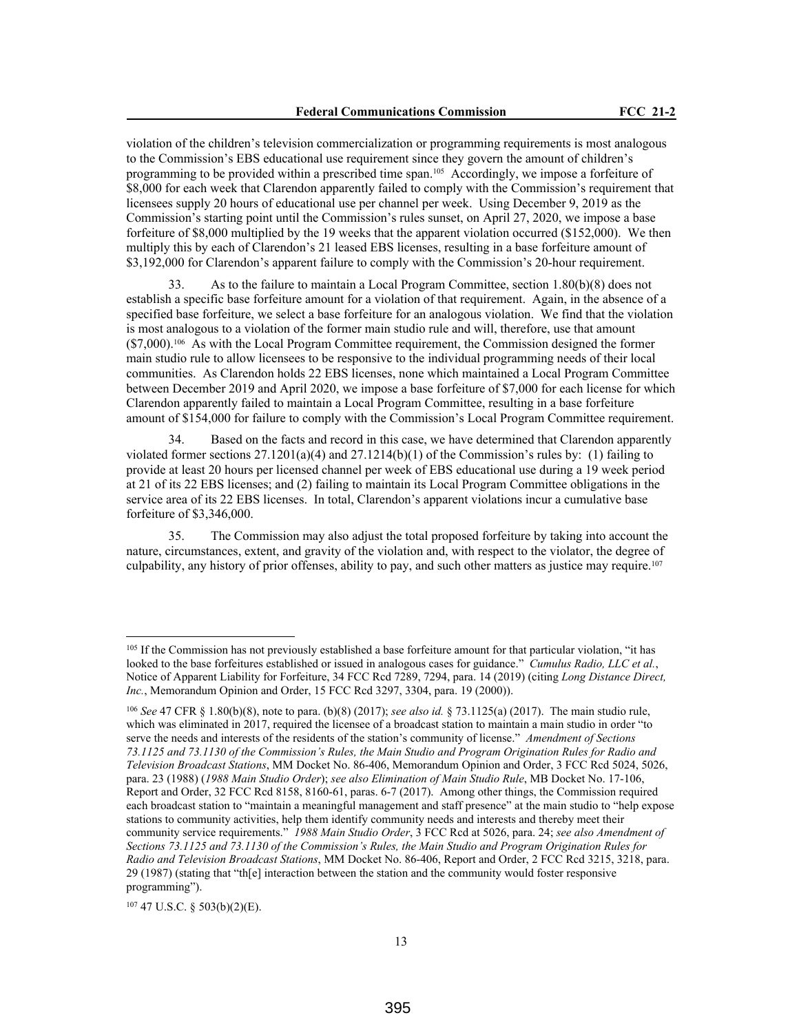violation of the children's television commercialization or programming requirements is most analogous to the Commission's EBS educational use requirement since they govern the amount of children's programming to be provided within a prescribed time span.105 Accordingly, we impose a forfeiture of \$8,000 for each week that Clarendon apparently failed to comply with the Commission's requirement that licensees supply 20 hours of educational use per channel per week. Using December 9, 2019 as the Commission's starting point until the Commission's rules sunset, on April 27, 2020, we impose a base forfeiture of \$8,000 multiplied by the 19 weeks that the apparent violation occurred (\$152,000). We then multiply this by each of Clarendon's 21 leased EBS licenses, resulting in a base forfeiture amount of \$3,192,000 for Clarendon's apparent failure to comply with the Commission's 20-hour requirement.

33. As to the failure to maintain a Local Program Committee, section 1.80(b)(8) does not establish a specific base forfeiture amount for a violation of that requirement. Again, in the absence of a specified base forfeiture, we select a base forfeiture for an analogous violation. We find that the violation is most analogous to a violation of the former main studio rule and will, therefore, use that amount (\$7,000).106 As with the Local Program Committee requirement, the Commission designed the former main studio rule to allow licensees to be responsive to the individual programming needs of their local communities. As Clarendon holds 22 EBS licenses, none which maintained a Local Program Committee between December 2019 and April 2020, we impose a base forfeiture of \$7,000 for each license for which Clarendon apparently failed to maintain a Local Program Committee, resulting in a base forfeiture amount of \$154,000 for failure to comply with the Commission's Local Program Committee requirement.

34. Based on the facts and record in this case, we have determined that Clarendon apparently violated former sections  $27.1201(a)(4)$  and  $27.1214(b)(1)$  of the Commission's rules by: (1) failing to provide at least 20 hours per licensed channel per week of EBS educational use during a 19 week period at 21 of its 22 EBS licenses; and (2) failing to maintain its Local Program Committee obligations in the service area of its 22 EBS licenses. In total, Clarendon's apparent violations incur a cumulative base forfeiture of \$3,346,000.

35. The Commission may also adjust the total proposed forfeiture by taking into account the nature, circumstances, extent, and gravity of the violation and, with respect to the violator, the degree of culpability, any history of prior offenses, ability to pay, and such other matters as justice may require.<sup>107</sup>

 $107$  47 U.S.C. § 503(b)(2)(E).

<sup>&</sup>lt;sup>105</sup> If the Commission has not previously established a base forfeiture amount for that particular violation, "it has looked to the base forfeitures established or issued in analogous cases for guidance." *Cumulus Radio, LLC et al.*, Notice of Apparent Liability for Forfeiture, 34 FCC Rcd 7289, 7294, para. 14 (2019) (citing *Long Distance Direct, Inc.*, Memorandum Opinion and Order, 15 FCC Rcd 3297, 3304, para. 19 (2000)).

<sup>106</sup> *See* 47 CFR § 1.80(b)(8), note to para. (b)(8) (2017); *see also id.* § 73.1125(a) (2017). The main studio rule, which was eliminated in 2017, required the licensee of a broadcast station to maintain a main studio in order "to serve the needs and interests of the residents of the station's community of license." *Amendment of Sections 73.1125 and 73.1130 of the Commission's Rules, the Main Studio and Program Origination Rules for Radio and Television Broadcast Stations*, MM Docket No. 86-406, Memorandum Opinion and Order, 3 FCC Rcd 5024, 5026, para. 23 (1988) (*1988 Main Studio Order*); *see also Elimination of Main Studio Rule*, MB Docket No. 17-106, Report and Order, 32 FCC Rcd 8158, 8160-61, paras. 6-7 (2017). Among other things, the Commission required each broadcast station to "maintain a meaningful management and staff presence" at the main studio to "help expose stations to community activities, help them identify community needs and interests and thereby meet their community service requirements." *1988 Main Studio Order*, 3 FCC Rcd at 5026, para. 24; *see also Amendment of Sections 73.1125 and 73.1130 of the Commission's Rules, the Main Studio and Program Origination Rules for Radio and Television Broadcast Stations*, MM Docket No. 86-406, Report and Order, 2 FCC Rcd 3215, 3218, para. 29 (1987) (stating that "th[e] interaction between the station and the community would foster responsive programming").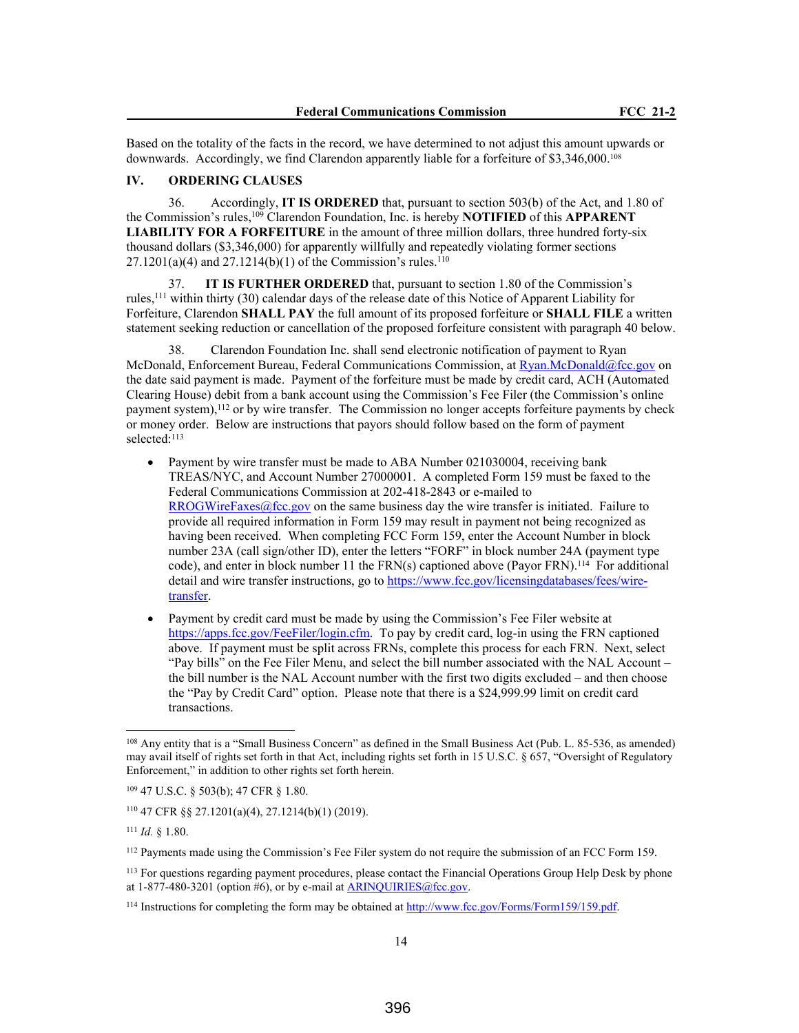Based on the totality of the facts in the record, we have determined to not adjust this amount upwards or downwards. Accordingly, we find Clarendon apparently liable for a forfeiture of \$3,346,000.<sup>108</sup>

#### **IV. ORDERING CLAUSES**

36. Accordingly, **IT IS ORDERED** that, pursuant to section 503(b) of the Act, and 1.80 of the Commission's rules,<sup>109</sup> Clarendon Foundation, Inc. is hereby **NOTIFIED** of this **APPARENT LIABILITY FOR A FORFEITURE** in the amount of three million dollars, three hundred forty-six thousand dollars (\$3,346,000) for apparently willfully and repeatedly violating former sections  $27.1201(a)(4)$  and  $27.1214(b)(1)$  of the Commission's rules.<sup>110</sup>

37. **IT IS FURTHER ORDERED** that, pursuant to section 1.80 of the Commission's rules,<sup>111</sup> within thirty (30) calendar days of the release date of this Notice of Apparent Liability for Forfeiture, Clarendon **SHALL PAY** the full amount of its proposed forfeiture or **SHALL FILE** a written statement seeking reduction or cancellation of the proposed forfeiture consistent with paragraph 40 below.

38. Clarendon Foundation Inc. shall send electronic notification of payment to Ryan McDonald, Enforcement Bureau, Federal Communications Commission, at Ryan.McDonald@fcc.gov on the date said payment is made. Payment of the forfeiture must be made by credit card, ACH (Automated Clearing House) debit from a bank account using the Commission's Fee Filer (the Commission's online payment system),<sup>112</sup> or by wire transfer. The Commission no longer accepts forfeiture payments by check or money order. Below are instructions that payors should follow based on the form of payment selected:<sup>113</sup>

- Payment by wire transfer must be made to ABA Number 021030004, receiving bank TREAS/NYC, and Account Number 27000001. A completed Form 159 must be faxed to the Federal Communications Commission at 202-418-2843 or e-mailed to RROGWireFaxes@fcc.gov on the same business day the wire transfer is initiated. Failure to provide all required information in Form 159 may result in payment not being recognized as having been received. When completing FCC Form 159, enter the Account Number in block number 23A (call sign/other ID), enter the letters "FORF" in block number 24A (payment type code), and enter in block number 11 the FRN(s) captioned above (Payor FRN).<sup>114</sup> For additional detail and wire transfer instructions, go to https://www.fcc.gov/licensingdatabases/fees/wiretransfer.
- Payment by credit card must be made by using the Commission's Fee Filer website at https://apps.fcc.gov/FeeFiler/login.cfm. To pay by credit card, log-in using the FRN captioned above. If payment must be split across FRNs, complete this process for each FRN. Next, select "Pay bills" on the Fee Filer Menu, and select the bill number associated with the NAL Account – the bill number is the NAL Account number with the first two digits excluded – and then choose the "Pay by Credit Card" option. Please note that there is a \$24,999.99 limit on credit card transactions.

<sup>108</sup> Any entity that is a "Small Business Concern" as defined in the Small Business Act (Pub. L. 85-536, as amended) may avail itself of rights set forth in that Act, including rights set forth in 15 U.S.C. § 657, "Oversight of Regulatory Enforcement," in addition to other rights set forth herein.

<sup>109</sup> 47 U.S.C. § 503(b); 47 CFR § 1.80.

<sup>110</sup> 47 CFR §§ 27.1201(a)(4), 27.1214(b)(1) (2019).

<sup>111</sup> *Id.* § 1.80.

<sup>112</sup> Payments made using the Commission's Fee Filer system do not require the submission of an FCC Form 159.

<sup>&</sup>lt;sup>113</sup> For questions regarding payment procedures, please contact the Financial Operations Group Help Desk by phone at  $1-877-480-3201$  (option #6), or by e-mail at ARINOUIRIES@fcc.gov.

<sup>114</sup> Instructions for completing the form may be obtained at http://www.fcc.gov/Forms/Form159/159.pdf.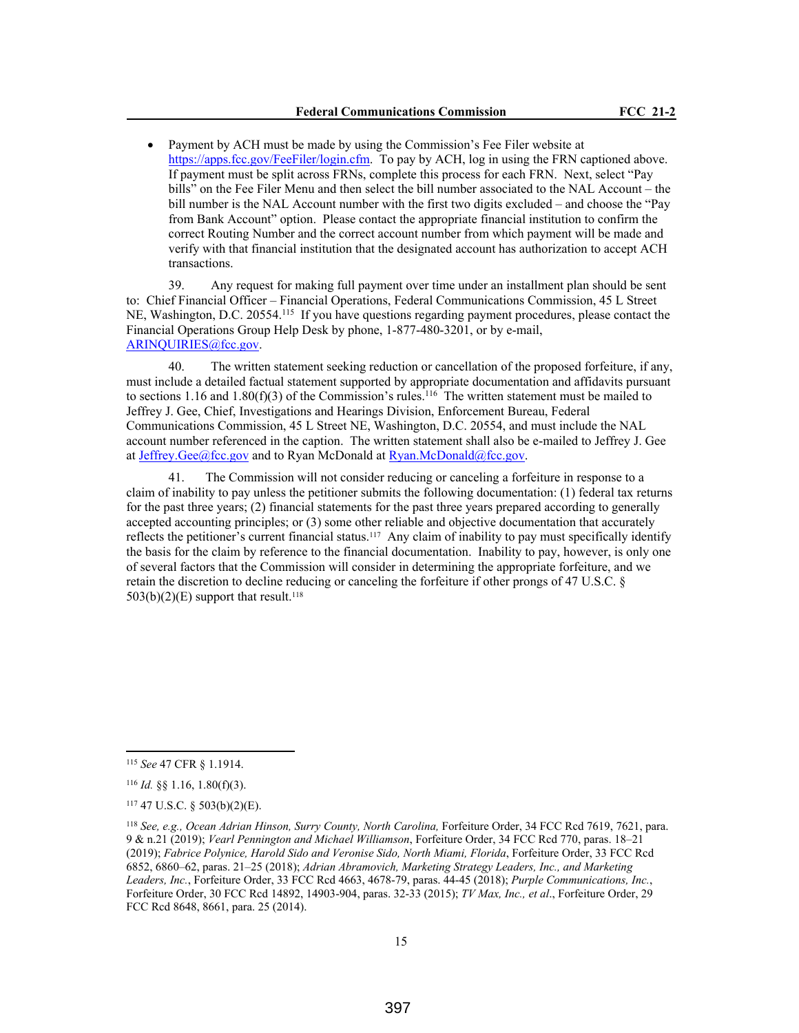Payment by ACH must be made by using the Commission's Fee Filer website at https://apps.fcc.gov/FeeFiler/login.cfm. To pay by ACH, log in using the FRN captioned above. If payment must be split across FRNs, complete this process for each FRN. Next, select "Pay bills" on the Fee Filer Menu and then select the bill number associated to the NAL Account – the bill number is the NAL Account number with the first two digits excluded – and choose the "Pay from Bank Account" option. Please contact the appropriate financial institution to confirm the correct Routing Number and the correct account number from which payment will be made and verify with that financial institution that the designated account has authorization to accept ACH transactions.

39. Any request for making full payment over time under an installment plan should be sent to: Chief Financial Officer – Financial Operations, Federal Communications Commission, 45 L Street NE, Washington, D.C. 20554.<sup>115</sup> If you have questions regarding payment procedures, please contact the Financial Operations Group Help Desk by phone, 1-877-480-3201, or by e-mail, ARINQUIRIES@fcc.gov.

40. The written statement seeking reduction or cancellation of the proposed forfeiture, if any, must include a detailed factual statement supported by appropriate documentation and affidavits pursuant to sections 1.16 and 1.80(f)(3) of the Commission's rules.<sup>116</sup> The written statement must be mailed to Jeffrey J. Gee, Chief, Investigations and Hearings Division, Enforcement Bureau, Federal Communications Commission, 45 L Street NE, Washington, D.C. 20554, and must include the NAL account number referenced in the caption. The written statement shall also be e-mailed to Jeffrey J. Gee at Jeffrey.Gee@fcc.gov and to Ryan McDonald at  $Ryan.McDonald@fcc.gov$ .

41. The Commission will not consider reducing or canceling a forfeiture in response to a claim of inability to pay unless the petitioner submits the following documentation: (1) federal tax returns for the past three years; (2) financial statements for the past three years prepared according to generally accepted accounting principles; or (3) some other reliable and objective documentation that accurately reflects the petitioner's current financial status.<sup>117</sup> Any claim of inability to pay must specifically identify the basis for the claim by reference to the financial documentation. Inability to pay, however, is only one of several factors that the Commission will consider in determining the appropriate forfeiture, and we retain the discretion to decline reducing or canceling the forfeiture if other prongs of 47 U.S.C. §  $503(b)(2)(E)$  support that result.<sup>118</sup>

<sup>115</sup> *See* 47 CFR § 1.1914.

<sup>116</sup> *Id.* §§ 1.16, 1.80(f)(3).

<sup>117</sup> 47 U.S.C. § 503(b)(2)(E).

<sup>&</sup>lt;sup>118</sup> See, e.g., Ocean Adrian Hinson, Surry County, North Carolina, Forfeiture Order, 34 FCC Rcd 7619, 7621, para. 9 & n.21 (2019); *Vearl Pennington and Michael Williamson*, Forfeiture Order, 34 FCC Rcd 770, paras. 18–21 (2019); *Fabrice Polynice, Harold Sido and Veronise Sido, North Miami, Florida*, Forfeiture Order, 33 FCC Rcd 6852, 6860–62, paras. 21–25 (2018); *Adrian Abramovich, Marketing Strategy Leaders, Inc., and Marketing Leaders, Inc.*, Forfeiture Order, 33 FCC Rcd 4663, 4678-79, paras. 44-45 (2018); *Purple Communications, Inc.*, Forfeiture Order, 30 FCC Rcd 14892, 14903-904, paras. 32-33 (2015); *TV Max, Inc., et al*., Forfeiture Order, 29 FCC Rcd 8648, 8661, para. 25 (2014).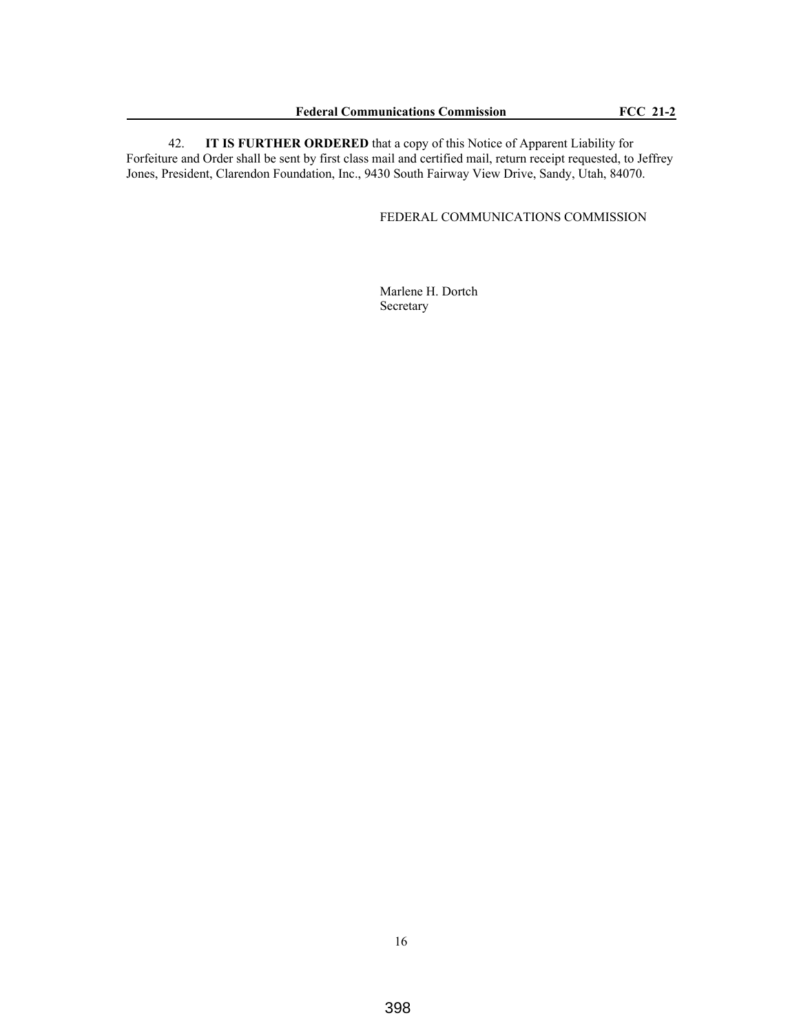42. **IT IS FURTHER ORDERED** that a copy of this Notice of Apparent Liability for Forfeiture and Order shall be sent by first class mail and certified mail, return receipt requested, to Jeffrey Jones, President, Clarendon Foundation, Inc., 9430 South Fairway View Drive, Sandy, Utah, 84070.

FEDERAL COMMUNICATIONS COMMISSION

Marlene H. Dortch Secretary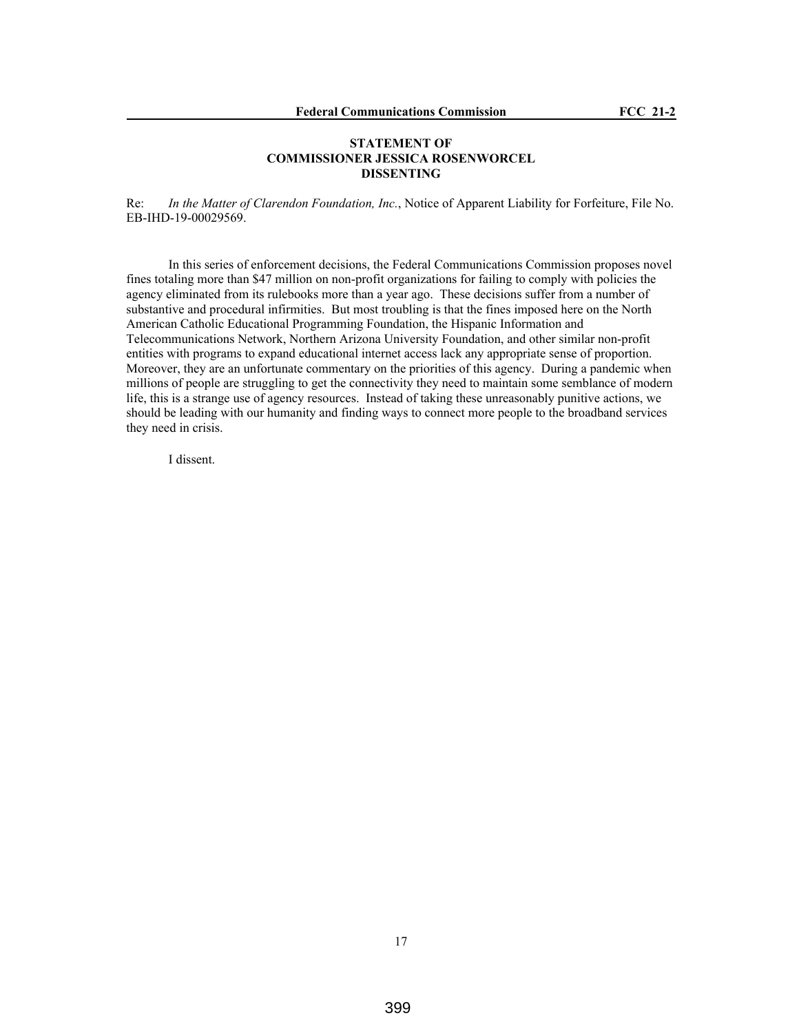## **STATEMENT OF COMMISSIONER JESSICA ROSENWORCEL DISSENTING**

Re: *In the Matter of Clarendon Foundation, Inc.*, Notice of Apparent Liability for Forfeiture, File No. EB-IHD-19-00029569.

In this series of enforcement decisions, the Federal Communications Commission proposes novel fines totaling more than \$47 million on non-profit organizations for failing to comply with policies the agency eliminated from its rulebooks more than a year ago. These decisions suffer from a number of substantive and procedural infirmities. But most troubling is that the fines imposed here on the North American Catholic Educational Programming Foundation, the Hispanic Information and Telecommunications Network, Northern Arizona University Foundation, and other similar non-profit entities with programs to expand educational internet access lack any appropriate sense of proportion. Moreover, they are an unfortunate commentary on the priorities of this agency. During a pandemic when millions of people are struggling to get the connectivity they need to maintain some semblance of modern life, this is a strange use of agency resources. Instead of taking these unreasonably punitive actions, we should be leading with our humanity and finding ways to connect more people to the broadband services they need in crisis.

I dissent.

17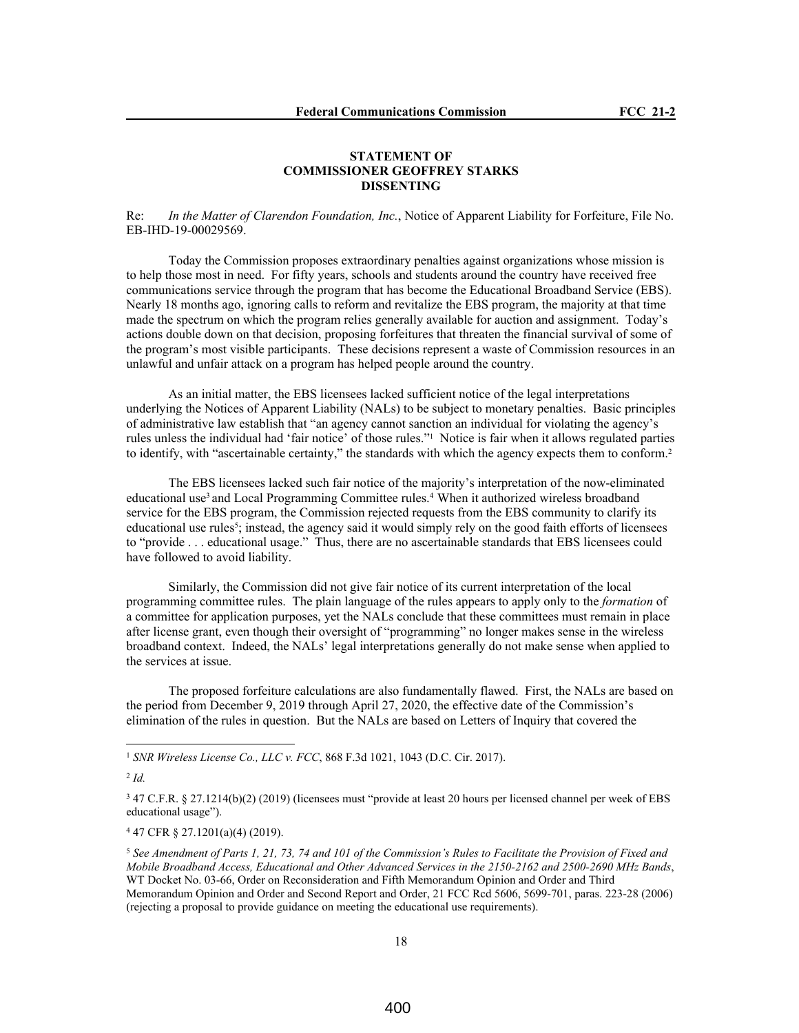#### **STATEMENT OF COMMISSIONER GEOFFREY STARKS DISSENTING**

Re: *In the Matter of Clarendon Foundation, Inc.*, Notice of Apparent Liability for Forfeiture, File No. EB-IHD-19-00029569.

Today the Commission proposes extraordinary penalties against organizations whose mission is to help those most in need. For fifty years, schools and students around the country have received free communications service through the program that has become the Educational Broadband Service (EBS). Nearly 18 months ago, ignoring calls to reform and revitalize the EBS program, the majority at that time made the spectrum on which the program relies generally available for auction and assignment. Today's actions double down on that decision, proposing forfeitures that threaten the financial survival of some of the program's most visible participants. These decisions represent a waste of Commission resources in an unlawful and unfair attack on a program has helped people around the country.

As an initial matter, the EBS licensees lacked sufficient notice of the legal interpretations underlying the Notices of Apparent Liability (NALs) to be subject to monetary penalties. Basic principles of administrative law establish that "an agency cannot sanction an individual for violating the agency's rules unless the individual had 'fair notice' of those rules."<sup>1</sup> Notice is fair when it allows regulated parties to identify, with "ascertainable certainty," the standards with which the agency expects them to conform.<sup>2</sup>

The EBS licensees lacked such fair notice of the majority's interpretation of the now-eliminated educational use<sup>3</sup> and Local Programming Committee rules.<sup>4</sup> When it authorized wireless broadband service for the EBS program, the Commission rejected requests from the EBS community to clarify its educational use rules<sup>5</sup>; instead, the agency said it would simply rely on the good faith efforts of licensees to "provide . . . educational usage." Thus, there are no ascertainable standards that EBS licensees could have followed to avoid liability.

Similarly, the Commission did not give fair notice of its current interpretation of the local programming committee rules. The plain language of the rules appears to apply only to the *formation* of a committee for application purposes, yet the NALs conclude that these committees must remain in place after license grant, even though their oversight of "programming" no longer makes sense in the wireless broadband context. Indeed, the NALs' legal interpretations generally do not make sense when applied to the services at issue.

The proposed forfeiture calculations are also fundamentally flawed. First, the NALs are based on the period from December 9, 2019 through April 27, 2020, the effective date of the Commission's elimination of the rules in question. But the NALs are based on Letters of Inquiry that covered the

<sup>1</sup> *SNR Wireless License Co., LLC v. FCC*, 868 F.3d 1021, 1043 (D.C. Cir. 2017).

2 *Id.*

3 47 C.F.R. § 27.1214(b)(2) (2019) (licensees must "provide at least 20 hours per licensed channel per week of EBS educational usage").

4 47 CFR § 27.1201(a)(4) (2019).

<sup>5</sup> *See Amendment of Parts 1, 21, 73, 74 and 101 of the Commission's Rules to Facilitate the Provision of Fixed and Mobile Broadband Access, Educational and Other Advanced Services in the 2150-2162 and 2500-2690 MHz Bands*, WT Docket No. 03-66, Order on Reconsideration and Fifth Memorandum Opinion and Order and Third Memorandum Opinion and Order and Second Report and Order, 21 FCC Rcd 5606, 5699-701, paras. 223-28 (2006) (rejecting a proposal to provide guidance on meeting the educational use requirements).